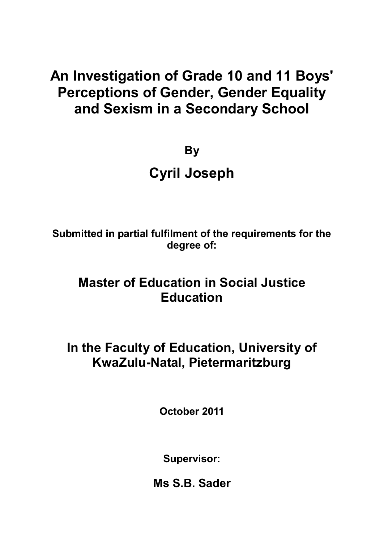# **An Investigation of Grade 10 and 11 Boys' Perceptions of Gender, Gender Equality and Sexism in a Secondary School**

**By**

# **Cyril Joseph**

**Submitted in partial fulfilment of the requirements for the degree of:** 

# **Master of Education in Social Justice Education**

# **In the Faculty of Education, University of KwaZulu-Natal, Pietermaritzburg**

**October 2011** 

**Supervisor:** 

**Ms S.B. Sader**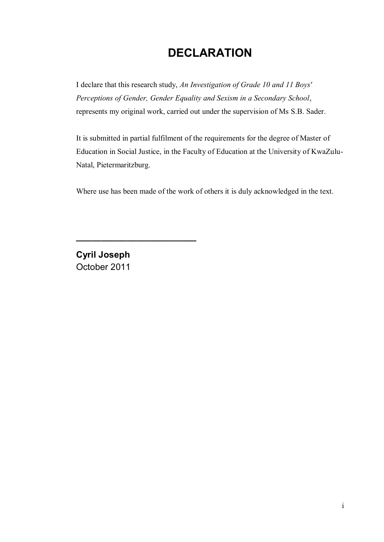# **DECLARATION**

I declare that this research study, *An Investigation of Grade 10 and 11 Boys' Perceptions of Gender, Gender Equality and Sexism in a Secondary School*, represents my original work, carried out under the supervision of Ms S.B. Sader.

It is submitted in partial fulfilment of the requirements for the degree of Master of Education in Social Justice, in the Faculty of Education at the University of KwaZulu-Natal, Pietermaritzburg.

Where use has been made of the work of others it is duly acknowledged in the text.

**Cyril Joseph**  October 2011

**\_\_\_\_\_\_\_\_\_\_\_\_\_\_\_\_\_\_\_\_\_\_\_\_**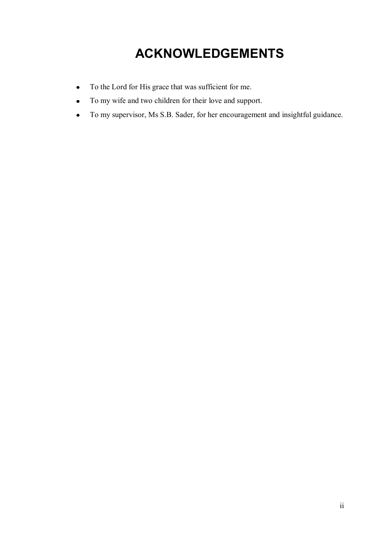# **ACKNOWLEDGEMENTS**

- To the Lord for His grace that was sufficient for me.  $\bullet$
- To my wife and two children for their love and support.  $\bullet$
- To my supervisor, Ms S.B. Sader, for her encouragement and insightful guidance. $\bullet$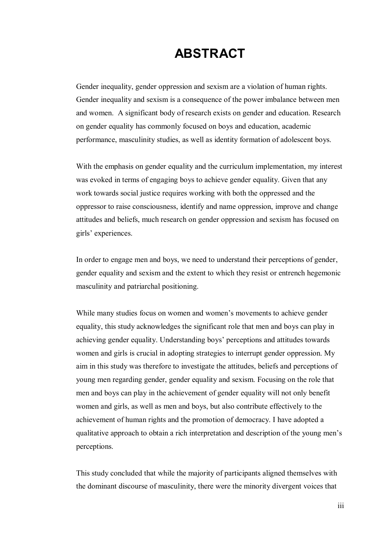# **ABSTRACT**

Gender inequality, gender oppression and sexism are a violation of human rights. Gender inequality and sexism is a consequence of the power imbalance between men and women. A significant body of research exists on gender and education. Research on gender equality has commonly focused on boys and education, academic performance, masculinity studies, as well as identity formation of adolescent boys.

With the emphasis on gender equality and the curriculum implementation, my interest was evoked in terms of engaging boys to achieve gender equality. Given that any work towards social justice requires working with both the oppressed and the oppressor to raise consciousness, identify and name oppression, improve and change attitudes and beliefs, much research on gender oppression and sexism has focused on girls' experiences.

In order to engage men and boys, we need to understand their perceptions of gender, gender equality and sexism and the extent to which they resist or entrench hegemonic masculinity and patriarchal positioning.

While many studies focus on women and women's movements to achieve gender equality, this study acknowledges the significant role that men and boys can play in achieving gender equality. Understanding boys' perceptions and attitudes towards women and girls is crucial in adopting strategies to interrupt gender oppression. My aim in this study was therefore to investigate the attitudes, beliefs and perceptions of young men regarding gender, gender equality and sexism. Focusing on the role that men and boys can play in the achievement of gender equality will not only benefit women and girls, as well as men and boys, but also contribute effectively to the achievement of human rights and the promotion of democracy. I have adopted a qualitative approach to obtain a rich interpretation and description of the young men's perceptions.

This study concluded that while the majority of participants aligned themselves with the dominant discourse of masculinity, there were the minority divergent voices that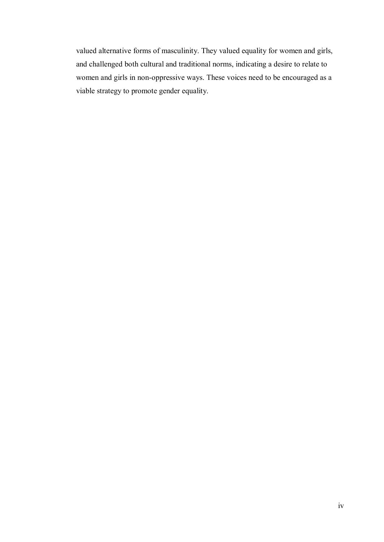valued alternative forms of masculinity. They valued equality for women and girls, and challenged both cultural and traditional norms, indicating a desire to relate to women and girls in non-oppressive ways. These voices need to be encouraged as a viable strategy to promote gender equality.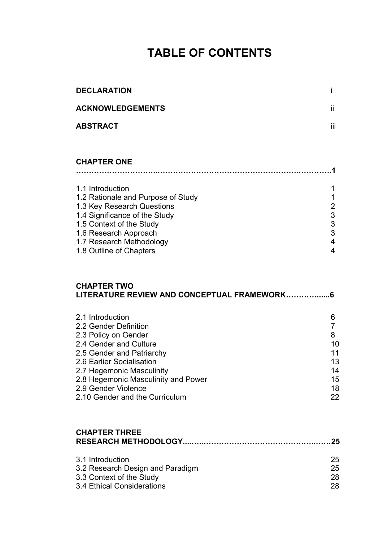# **TABLE OF CONTENTS**

| <b>DECLARATION</b>                                                                                                                                                                                                                                                                 | İ                                                                                           |
|------------------------------------------------------------------------------------------------------------------------------------------------------------------------------------------------------------------------------------------------------------------------------------|---------------------------------------------------------------------------------------------|
| <b>ACKNOWLEDGEMENTS</b>                                                                                                                                                                                                                                                            | ij.                                                                                         |
| ABSTRACT                                                                                                                                                                                                                                                                           | iii                                                                                         |
|                                                                                                                                                                                                                                                                                    |                                                                                             |
| <b>CHAPTER ONE</b>                                                                                                                                                                                                                                                                 |                                                                                             |
| 1.1 Introduction<br>1.2 Rationale and Purpose of Study<br>1.3 Key Research Questions<br>1.4 Significance of the Study<br>1.5 Context of the Study<br>1.6 Research Approach<br>1.7 Research Methodology<br>1.8 Outline of Chapters                                                  | 1<br>1<br>$\begin{array}{c}\n2 \\ 3 \\ 3 \\ 3\n\end{array}$<br>$\overline{\mathbf{4}}$<br>4 |
| <b>CHAPTER TWO</b><br>LITERATURE REVIEW AND CONCEPTUAL FRAMEWORK6                                                                                                                                                                                                                  |                                                                                             |
| 2.1 Introduction<br>2.2 Gender Definition<br>2.3 Policy on Gender<br>2.4 Gender and Culture<br>2.5 Gender and Patriarchy<br>2.6 Earlier Socialisation<br>2.7 Hegemonic Masculinity<br>2.8 Hegemonic Masculinity and Power<br>2.9 Gender Violence<br>2.10 Gender and the Curriculum | 6<br>$\overline{7}$<br>8<br>10<br>11<br>13<br>14<br>15<br>18<br>22                          |
| <b>CHAPTER THREE</b>                                                                                                                                                                                                                                                               |                                                                                             |
| 3.1 Introduction                                                                                                                                                                                                                                                                   | クら                                                                                          |

| 3.1 Introduction                 | 25 |
|----------------------------------|----|
| 3.2 Research Design and Paradigm | 25 |
| 3.3 Context of the Study         | 28 |
| 3.4 Ethical Considerations       | 28 |
|                                  |    |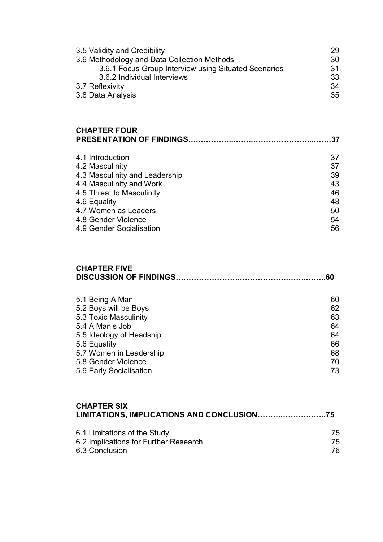| 3.5 Validity and Credibility                         | 29 |
|------------------------------------------------------|----|
| 3.6 Methodology and Data Collection Methods          | 30 |
| 3.6.1 Focus Group Interview using Situated Scenarios | 31 |
| 3.6.2 Individual Interviews                          | 33 |
| 3.7 Reflexivity                                      | 34 |
| 3.8 Data Analysis                                    | 35 |

#### **CHAPTER FOUR PRESENTATION OF FINDINGS….…………..……..…………………...…….37**

| 4.1 Introduction               | 37 |
|--------------------------------|----|
| 4.2 Masculinity                | 37 |
| 4.3 Masculinity and Leadership | 39 |
| 4.4 Masculinity and Work       | 43 |
| 4.5 Threat to Masculinity      | 46 |
| 4.6 Equality                   | 48 |
| 4.7 Women as Leaders           | 50 |
| 4.8 Gender Violence            | 54 |
| 4.9 Gender Socialisation       | 56 |
|                                |    |

#### **CHAPTER FIVE DISCUSSION OF FINDINGS…………………….……………….…….……..60**

| 5.1 Being A Man          | 60 |
|--------------------------|----|
| 5.2 Boys will be Boys    | 62 |
| 5.3 Toxic Masculinity    | 63 |
| 5.4 A Man's Job          | 64 |
| 5.5 Ideology of Headship | 64 |
| 5.6 Equality             | 66 |
| 5.7 Women in Leadership  | 68 |
| 5.8 Gender Violence      | 70 |
| 5.9 Early Socialisation  | 73 |
|                          |    |

# **CHAPTER SIX LIMITATIONS, IMPLICATIONS AND CONCLUSION……….……………..75** 6.1 Limitations of the Study<br>
6.2 Implications for Further Research<br>
75 6.2 Implications for Further Research 6.3 Conclusion 76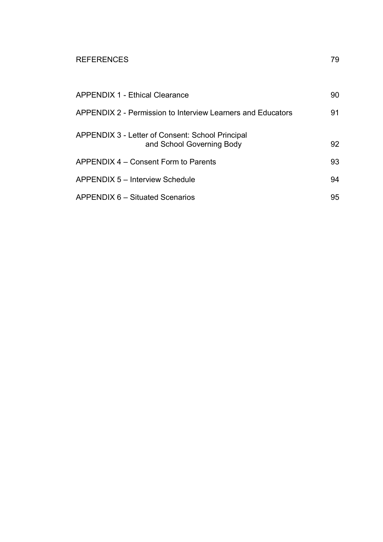#### REFERENCES 79

| <b>APPENDIX 1 - Ethical Clearance</b>                                         | 90 |
|-------------------------------------------------------------------------------|----|
| APPENDIX 2 - Permission to Interview Learners and Educators                   | 91 |
| APPENDIX 3 - Letter of Consent: School Principal<br>and School Governing Body | 92 |
| APPENDIX 4 – Consent Form to Parents                                          | 93 |
| APPENDIX 5 - Interview Schedule                                               | 94 |
| <b>APPENDIX 6 - Situated Scenarios</b>                                        | 95 |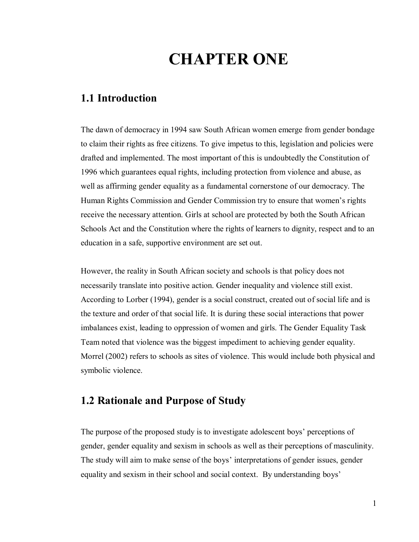# **CHAPTER ONE**

# **1.1 Introduction**

The dawn of democracy in 1994 saw South African women emerge from gender bondage to claim their rights as free citizens. To give impetus to this, legislation and policies were drafted and implemented. The most important of this is undoubtedly the Constitution of 1996 which guarantees equal rights, including protection from violence and abuse, as well as affirming gender equality as a fundamental cornerstone of our democracy. The Human Rights Commission and Gender Commission try to ensure that women"s rights receive the necessary attention. Girls at school are protected by both the South African Schools Act and the Constitution where the rights of learners to dignity, respect and to an education in a safe, supportive environment are set out.

However, the reality in South African society and schools is that policy does not necessarily translate into positive action. Gender inequality and violence still exist. According to Lorber (1994), gender is a social construct, created out of social life and is the texture and order of that social life. It is during these social interactions that power imbalances exist, leading to oppression of women and girls. The Gender Equality Task Team noted that violence was the biggest impediment to achieving gender equality. Morrel (2002) refers to schools as sites of violence. This would include both physical and symbolic violence.

### **1.2 Rationale and Purpose of Study**

The purpose of the proposed study is to investigate adolescent boys' perceptions of gender, gender equality and sexism in schools as well as their perceptions of masculinity. The study will aim to make sense of the boys' interpretations of gender issues, gender equality and sexism in their school and social context. By understanding boys"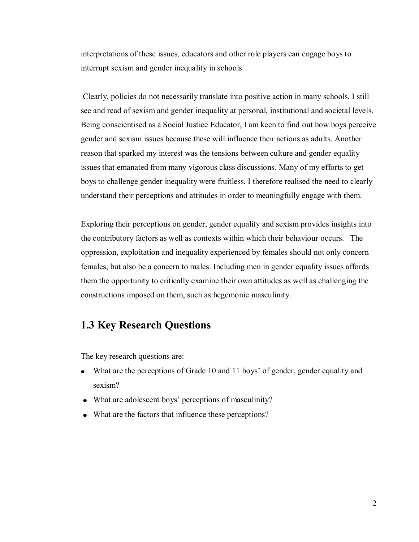interpretations of these issues, educators and other role players can engage boys to interrupt sexism and gender inequality in schools

Clearly, policies do not necessarily translate into positive action in many schools. I still see and read of sexism and gender inequality at personal, institutional and societal levels. Being conscientised as a Social Justice Educator, I am keen to find out how boys perceive gender and sexism issues because these will influence their actions as adults. Another reason that sparked my interest was the tensions between culture and gender equality issues that emanated from many vigorous class discussions. Many of my efforts to get boys to challenge gender inequality were fruitless. I therefore realised the need to clearly understand their perceptions and attitudes in order to meaningfully engage with them.

Exploring their perceptions on gender, gender equality and sexism provides insights into the contributory factors as well as contexts within which their behaviour occurs. The oppression, exploitation and inequality experienced by females should not only concern females, but also be a concern to males. Including men in gender equality issues affords them the opportunity to critically examine their own attitudes as well as challenging the constructions imposed on them, such as hegemonic masculinity.

# **1.3 Key Research Questions**

The key research questions are:

- What are the perceptions of Grade 10 and 11 boys' of gender, gender equality and sexism?
- What are adolescent boys' perceptions of masculinity?
- What are the factors that influence these perceptions?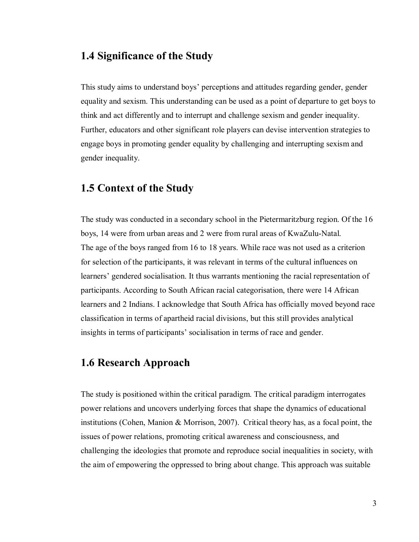# **1.4 Significance of the Study**

This study aims to understand boys" perceptions and attitudes regarding gender, gender equality and sexism. This understanding can be used as a point of departure to get boys to think and act differently and to interrupt and challenge sexism and gender inequality. Further, educators and other significant role players can devise intervention strategies to engage boys in promoting gender equality by challenging and interrupting sexism and gender inequality.

#### **1.5 Context of the Study**

The study was conducted in a secondary school in the Pietermaritzburg region. Of the 16 boys, 14 were from urban areas and 2 were from rural areas of KwaZulu-Natal. The age of the boys ranged from 16 to 18 years. While race was not used as a criterion for selection of the participants, it was relevant in terms of the cultural influences on learners" gendered socialisation. It thus warrants mentioning the racial representation of participants. According to South African racial categorisation, there were 14 African learners and 2 Indians. I acknowledge that South Africa has officially moved beyond race classification in terms of apartheid racial divisions, but this still provides analytical insights in terms of participants' socialisation in terms of race and gender.

# **1.6 Research Approach**

The study is positioned within the critical paradigm. The critical paradigm interrogates power relations and uncovers underlying forces that shape the dynamics of educational institutions (Cohen, Manion & Morrison, 2007). Critical theory has, as a focal point, the issues of power relations, promoting critical awareness and consciousness, and challenging the ideologies that promote and reproduce social inequalities in society, with the aim of empowering the oppressed to bring about change. This approach was suitable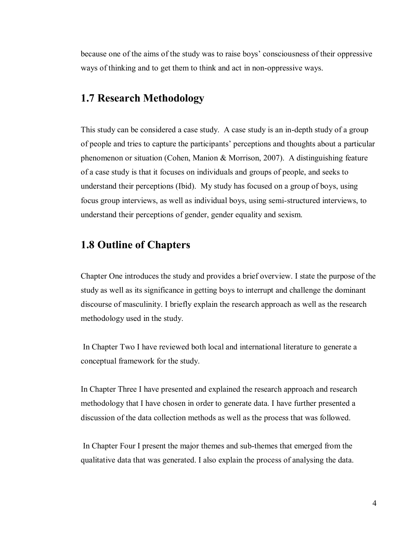because one of the aims of the study was to raise boys" consciousness of their oppressive ways of thinking and to get them to think and act in non-oppressive ways.

#### **1.7 Research Methodology**

This study can be considered a case study. A case study is an in-depth study of a group of people and tries to capture the participants" perceptions and thoughts about a particular phenomenon or situation (Cohen, Manion & Morrison, 2007). A distinguishing feature of a case study is that it focuses on individuals and groups of people, and seeks to understand their perceptions (Ibid). My study has focused on a group of boys, using focus group interviews, as well as individual boys, using semi-structured interviews, to understand their perceptions of gender, gender equality and sexism.

#### **1.8 Outline of Chapters**

Chapter One introduces the study and provides a brief overview. I state the purpose of the study as well as its significance in getting boys to interrupt and challenge the dominant discourse of masculinity. I briefly explain the research approach as well as the research methodology used in the study.

 In Chapter Two I have reviewed both local and international literature to generate a conceptual framework for the study.

In Chapter Three I have presented and explained the research approach and research methodology that I have chosen in order to generate data. I have further presented a discussion of the data collection methods as well as the process that was followed.

 In Chapter Four I present the major themes and sub-themes that emerged from the qualitative data that was generated. I also explain the process of analysing the data.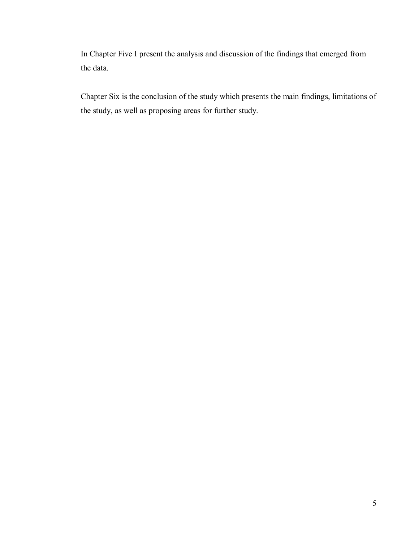In Chapter Five I present the analysis and discussion of the findings that emerged from the data.

Chapter Six is the conclusion of the study which presents the main findings, limitations of the study, as well as proposing areas for further study.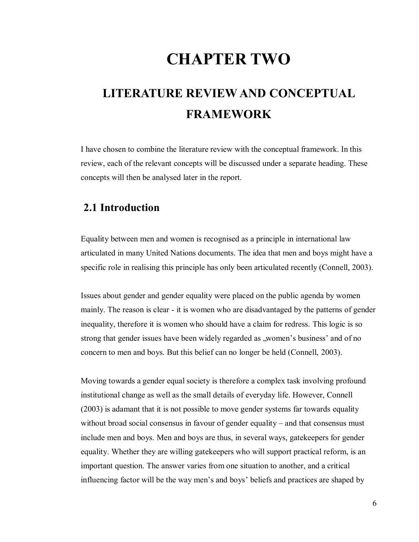# **CHAPTER TWO**

# **LITERATURE REVIEW AND CONCEPTUAL FRAMEWORK**

I have chosen to combine the literature review with the conceptual framework. In this review, each of the relevant concepts will be discussed under a separate heading. These concepts will then be analysed later in the report.

# **2.1 Introduction**

Equality between men and women is recognised as a principle in international law articulated in many United Nations documents. The idea that men and boys might have a specific role in realising this principle has only been articulated recently (Connell, 2003).

Issues about gender and gender equality were placed on the public agenda by women mainly. The reason is clear - it is women who are disadvantaged by the patterns of gender inequality, therefore it is women who should have a claim for redress. This logic is so strong that gender issues have been widely regarded as "women's business' and of no concern to men and boys. But this belief can no longer be held (Connell, 2003).

Moving towards a gender equal society is therefore a complex task involving profound institutional change as well as the small details of everyday life. However, Connell (2003) is adamant that it is not possible to move gender systems far towards equality without broad social consensus in favour of gender equality – and that consensus must include men and boys. Men and boys are thus, in several ways, gatekeepers for gender equality. Whether they are willing gatekeepers who will support practical reform, is an important question. The answer varies from one situation to another, and a critical influencing factor will be the way men's and boys' beliefs and practices are shaped by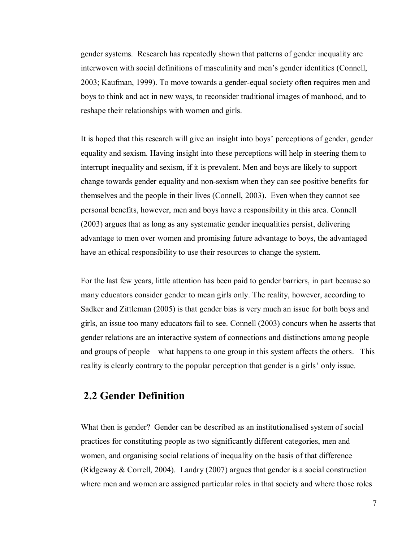gender systems. Research has repeatedly shown that patterns of gender inequality are interwoven with social definitions of masculinity and men"s gender identities (Connell, 2003; Kaufman, 1999). To move towards a gender-equal society often requires men and boys to think and act in new ways, to reconsider traditional images of manhood, and to reshape their relationships with women and girls.

It is hoped that this research will give an insight into boys" perceptions of gender, gender equality and sexism. Having insight into these perceptions will help in steering them to interrupt inequality and sexism, if it is prevalent. Men and boys are likely to support change towards gender equality and non-sexism when they can see positive benefits for themselves and the people in their lives (Connell, 2003). Even when they cannot see personal benefits, however, men and boys have a responsibility in this area. Connell (2003) argues that as long as any systematic gender inequalities persist, delivering advantage to men over women and promising future advantage to boys, the advantaged have an ethical responsibility to use their resources to change the system.

For the last few years, little attention has been paid to gender barriers, in part because so many educators consider gender to mean girls only. The reality, however, according to Sadker and Zittleman (2005) is that gender bias is very much an issue for both boys and girls, an issue too many educators fail to see. Connell (2003) concurs when he asserts that gender relations are an interactive system of connections and distinctions among people and groups of people – what happens to one group in this system affects the others. This reality is clearly contrary to the popular perception that gender is a girls" only issue.

# **2.2 Gender Definition**

What then is gender? Gender can be described as an institutionalised system of social practices for constituting people as two significantly different categories, men and women, and organising social relations of inequality on the basis of that difference (Ridgeway & Correll, 2004). Landry (2007) argues that gender is a social construction where men and women are assigned particular roles in that society and where those roles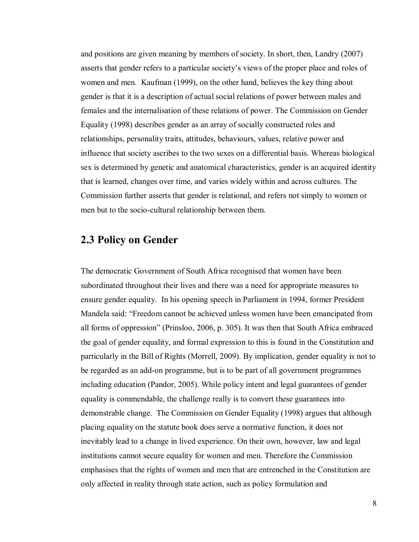and positions are given meaning by members of society. In short, then, Landry (2007) asserts that gender refers to a particular society"s views of the proper place and roles of women and men. Kaufman (1999), on the other hand, believes the key thing about gender is that it is a description of actual social relations of power between males and females and the internalisation of these relations of power. The Commission on Gender Equality (1998) describes gender as an array of socially constructed roles and relationships, personality traits, attitudes, behaviours, values, relative power and influence that society ascribes to the two sexes on a differential basis. Whereas biological sex is determined by genetic and anatomical characteristics, gender is an acquired identity that is learned, changes over time, and varies widely within and across cultures. The Commission further asserts that gender is relational, and refers not simply to women or men but to the socio-cultural relationship between them.

### **2.3 Policy on Gender**

The democratic Government of South Africa recognised that women have been subordinated throughout their lives and there was a need for appropriate measures to ensure gender equality. In his opening speech in Parliament in 1994, former President Mandela said: "Freedom cannot be achieved unless women have been emancipated from all forms of oppression" (Prinsloo, 2006, p. 305). It was then that South Africa embraced the goal of gender equality, and formal expression to this is found in the Constitution and particularly in the Bill of Rights (Morrell, 2009). By implication, gender equality is not to be regarded as an add-on programme, but is to be part of all government programmes including education (Pandor, 2005). While policy intent and legal guarantees of gender equality is commendable, the challenge really is to convert these guarantees into demonstrable change. The Commission on Gender Equality (1998) argues that although placing equality on the statute book does serve a normative function, it does not inevitably lead to a change in lived experience. On their own, however, law and legal institutions cannot secure equality for women and men. Therefore the Commission emphasises that the rights of women and men that are entrenched in the Constitution are only affected in reality through state action, such as policy formulation and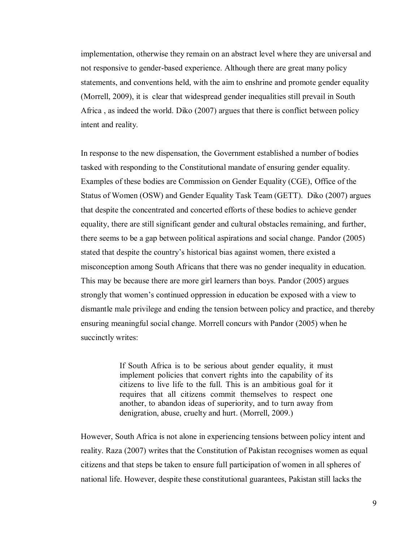implementation, otherwise they remain on an abstract level where they are universal and not responsive to gender-based experience. Although there are great many policy statements, and conventions held, with the aim to enshrine and promote gender equality (Morrell, 2009), it is clear that widespread gender inequalities still prevail in South Africa , as indeed the world. Diko (2007) argues that there is conflict between policy intent and reality.

In response to the new dispensation, the Government established a number of bodies tasked with responding to the Constitutional mandate of ensuring gender equality. Examples of these bodies are Commission on Gender Equality (CGE), Office of the Status of Women (OSW) and Gender Equality Task Team (GETT). Diko (2007) argues that despite the concentrated and concerted efforts of these bodies to achieve gender equality, there are still significant gender and cultural obstacles remaining, and further, there seems to be a gap between political aspirations and social change. Pandor (2005) stated that despite the country"s historical bias against women, there existed a misconception among South Africans that there was no gender inequality in education. This may be because there are more girl learners than boys. Pandor (2005) argues strongly that women"s continued oppression in education be exposed with a view to dismantle male privilege and ending the tension between policy and practice, and thereby ensuring meaningful social change. Morrell concurs with Pandor (2005) when he succinctly writes:

> If South Africa is to be serious about gender equality, it must implement policies that convert rights into the capability of its citizens to live life to the full. This is an ambitious goal for it requires that all citizens commit themselves to respect one another, to abandon ideas of superiority, and to turn away from denigration, abuse, cruelty and hurt. (Morrell, 2009.)

However, South Africa is not alone in experiencing tensions between policy intent and reality. Raza (2007) writes that the Constitution of Pakistan recognises women as equal citizens and that steps be taken to ensure full participation of women in all spheres of national life. However, despite these constitutional guarantees, Pakistan still lacks the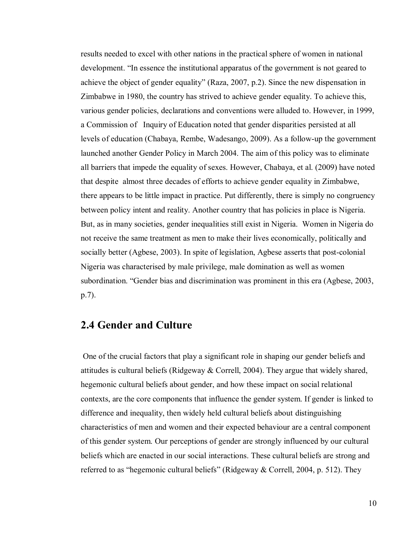results needed to excel with other nations in the practical sphere of women in national development. "In essence the institutional apparatus of the government is not geared to achieve the object of gender equality" (Raza, 2007, p.2). Since the new dispensation in Zimbabwe in 1980, the country has strived to achieve gender equality. To achieve this, various gender policies, declarations and conventions were alluded to. However, in 1999, a Commission of Inquiry of Education noted that gender disparities persisted at all levels of education (Chabaya, Rembe, Wadesango, 2009). As a follow-up the government launched another Gender Policy in March 2004. The aim of this policy was to eliminate all barriers that impede the equality of sexes. However, Chabaya, et al. (2009) have noted that despite almost three decades of efforts to achieve gender equality in Zimbabwe, there appears to be little impact in practice. Put differently, there is simply no congruency between policy intent and reality. Another country that has policies in place is Nigeria. But, as in many societies, gender inequalities still exist in Nigeria. Women in Nigeria do not receive the same treatment as men to make their lives economically, politically and socially better (Agbese, 2003). In spite of legislation, Agbese asserts that post-colonial Nigeria was characterised by male privilege, male domination as well as women subordination. "Gender bias and discrimination was prominent in this era (Agbese, 2003, p.7).

# **2.4 Gender and Culture**

 One of the crucial factors that play a significant role in shaping our gender beliefs and attitudes is cultural beliefs (Ridgeway & Correll, 2004). They argue that widely shared, hegemonic cultural beliefs about gender, and how these impact on social relational contexts, are the core components that influence the gender system. If gender is linked to difference and inequality, then widely held cultural beliefs about distinguishing characteristics of men and women and their expected behaviour are a central component of this gender system. Our perceptions of gender are strongly influenced by our cultural beliefs which are enacted in our social interactions. These cultural beliefs are strong and referred to as "hegemonic cultural beliefs" (Ridgeway & Correll, 2004, p. 512). They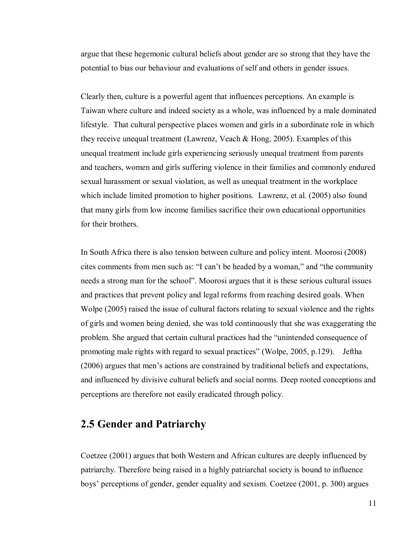argue that these hegemonic cultural beliefs about gender are so strong that they have the potential to bias our behaviour and evaluations of self and others in gender issues.

Clearly then, culture is a powerful agent that influences perceptions. An example is Taiwan where culture and indeed society as a whole, was influenced by a male dominated lifestyle. That cultural perspective places women and girls in a subordinate role in which they receive unequal treatment (Lawrenz, Veach & Hong, 2005). Examples of this unequal treatment include girls experiencing seriously unequal treatment from parents and teachers, women and girls suffering violence in their families and commonly endured sexual harassment or sexual violation, as well as unequal treatment in the workplace which include limited promotion to higher positions. Lawrenz, et al. (2005) also found that many girls from low income families sacrifice their own educational opportunities for their brothers.

In South Africa there is also tension between culture and policy intent. Moorosi (2008) cites comments from men such as: "I can"t be headed by a woman," and "the community needs a strong man for the school". Moorosi argues that it is these serious cultural issues and practices that prevent policy and legal reforms from reaching desired goals. When Wolpe (2005) raised the issue of cultural factors relating to sexual violence and the rights of girls and women being denied, she was told continuously that she was exaggerating the problem. She argued that certain cultural practices had the "unintended consequence of promoting male rights with regard to sexual practices" (Wolpe, 2005, p.129). Jeftha (2006) argues that men"s actions are constrained by traditional beliefs and expectations, and influenced by divisive cultural beliefs and social norms. Deep rooted conceptions and perceptions are therefore not easily eradicated through policy.

# **2.5 Gender and Patriarchy**

Coetzee (2001) argues that both Western and African cultures are deeply influenced by patriarchy. Therefore being raised in a highly patriarchal society is bound to influence boys" perceptions of gender, gender equality and sexism. Coetzee (2001, p. 300) argues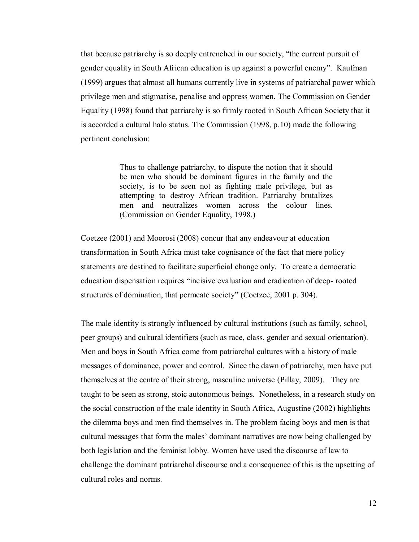that because patriarchy is so deeply entrenched in our society, "the current pursuit of gender equality in South African education is up against a powerful enemy". Kaufman (1999) argues that almost all humans currently live in systems of patriarchal power which privilege men and stigmatise, penalise and oppress women. The Commission on Gender Equality (1998) found that patriarchy is so firmly rooted in South African Society that it is accorded a cultural halo status. The Commission (1998, p.10) made the following pertinent conclusion:

> Thus to challenge patriarchy, to dispute the notion that it should be men who should be dominant figures in the family and the society, is to be seen not as fighting male privilege, but as attempting to destroy African tradition. Patriarchy brutalizes men and neutralizes women across the colour lines. (Commission on Gender Equality, 1998.)

Coetzee (2001) and Moorosi (2008) concur that any endeavour at education transformation in South Africa must take cognisance of the fact that mere policy statements are destined to facilitate superficial change only. To create a democratic education dispensation requires "incisive evaluation and eradication of deep- rooted structures of domination, that permeate society" (Coetzee, 2001 p. 304).

The male identity is strongly influenced by cultural institutions (such as family, school, peer groups) and cultural identifiers (such as race, class, gender and sexual orientation). Men and boys in South Africa come from patriarchal cultures with a history of male messages of dominance, power and control. Since the dawn of patriarchy, men have put themselves at the centre of their strong, masculine universe (Pillay, 2009). They are taught to be seen as strong, stoic autonomous beings. Nonetheless, in a research study on the social construction of the male identity in South Africa, Augustine (2002) highlights the dilemma boys and men find themselves in. The problem facing boys and men is that cultural messages that form the males" dominant narratives are now being challenged by both legislation and the feminist lobby. Women have used the discourse of law to challenge the dominant patriarchal discourse and a consequence of this is the upsetting of cultural roles and norms.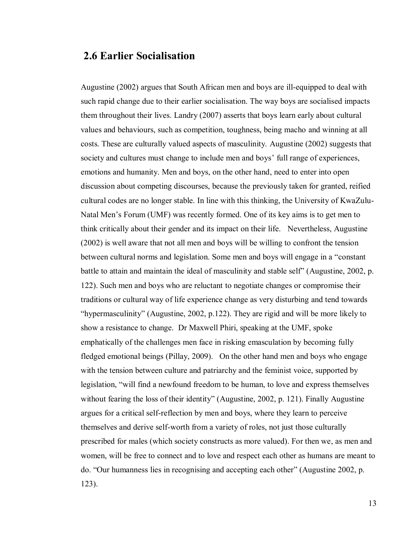### **2.6 Earlier Socialisation**

Augustine (2002) argues that South African men and boys are ill-equipped to deal with such rapid change due to their earlier socialisation. The way boys are socialised impacts them throughout their lives. Landry (2007) asserts that boys learn early about cultural values and behaviours, such as competition, toughness, being macho and winning at all costs. These are culturally valued aspects of masculinity. Augustine (2002) suggests that society and cultures must change to include men and boys' full range of experiences, emotions and humanity. Men and boys, on the other hand, need to enter into open discussion about competing discourses, because the previously taken for granted, reified cultural codes are no longer stable. In line with this thinking, the University of KwaZulu-Natal Men"s Forum (UMF) was recently formed. One of its key aims is to get men to think critically about their gender and its impact on their life. Nevertheless, Augustine (2002) is well aware that not all men and boys will be willing to confront the tension between cultural norms and legislation. Some men and boys will engage in a "constant battle to attain and maintain the ideal of masculinity and stable self" (Augustine, 2002, p. 122). Such men and boys who are reluctant to negotiate changes or compromise their traditions or cultural way of life experience change as very disturbing and tend towards "hypermasculinity" (Augustine, 2002, p.122). They are rigid and will be more likely to show a resistance to change. Dr Maxwell Phiri, speaking at the UMF, spoke emphatically of the challenges men face in risking emasculation by becoming fully fledged emotional beings (Pillay, 2009). On the other hand men and boys who engage with the tension between culture and patriarchy and the feminist voice, supported by legislation, "will find a newfound freedom to be human, to love and express themselves without fearing the loss of their identity" (Augustine, 2002, p. 121). Finally Augustine argues for a critical self-reflection by men and boys, where they learn to perceive themselves and derive self-worth from a variety of roles, not just those culturally prescribed for males (which society constructs as more valued). For then we, as men and women, will be free to connect and to love and respect each other as humans are meant to do. "Our humanness lies in recognising and accepting each other" (Augustine 2002, p. 123).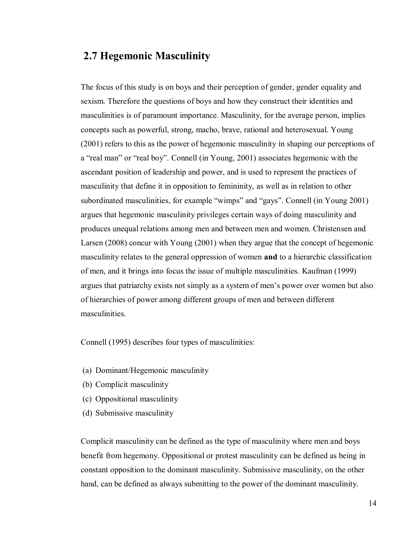# **2.7 Hegemonic Masculinity**

The focus of this study is on boys and their perception of gender, gender equality and sexism. Therefore the questions of boys and how they construct their identities and masculinities is of paramount importance. Masculinity, for the average person, implies concepts such as powerful, strong, macho, brave, rational and heterosexual. Young (2001) refers to this as the power of hegemonic masculinity in shaping our perceptions of a "real man" or "real boy". Connell (in Young, 2001) associates hegemonic with the ascendant position of leadership and power, and is used to represent the practices of masculinity that define it in opposition to femininity, as well as in relation to other subordinated masculinities, for example "wimps" and "gays". Connell (in Young 2001) argues that hegemonic masculinity privileges certain ways of doing masculinity and produces unequal relations among men and between men and women. Christensen and Larsen (2008) concur with Young (2001) when they argue that the concept of hegemonic masculinity relates to the general oppression of women **and** to a hierarchic classification of men, and it brings into focus the issue of multiple masculinities. Kaufman (1999) argues that patriarchy exists not simply as a system of men"s power over women but also of hierarchies of power among different groups of men and between different masculinities.

Connell (1995) describes four types of masculinities:

- (a) Dominant/Hegemonic masculinity
- (b) Complicit masculinity
- (c) Oppositional masculinity
- (d) Submissive masculinity

Complicit masculinity can be defined as the type of masculinity where men and boys benefit from hegemony. Oppositional or protest masculinity can be defined as being in constant opposition to the dominant masculinity. Submissive masculinity, on the other hand, can be defined as always submitting to the power of the dominant masculinity.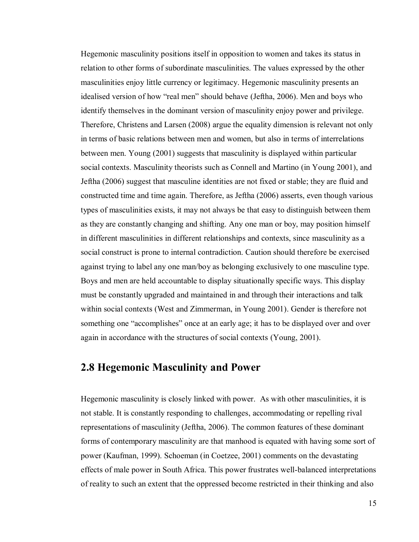Hegemonic masculinity positions itself in opposition to women and takes its status in relation to other forms of subordinate masculinities. The values expressed by the other masculinities enjoy little currency or legitimacy. Hegemonic masculinity presents an idealised version of how "real men" should behave (Jeftha, 2006). Men and boys who identify themselves in the dominant version of masculinity enjoy power and privilege. Therefore, Christens and Larsen (2008) argue the equality dimension is relevant not only in terms of basic relations between men and women, but also in terms of interrelations between men. Young (2001) suggests that masculinity is displayed within particular social contexts. Masculinity theorists such as Connell and Martino (in Young 2001), and Jeftha (2006) suggest that masculine identities are not fixed or stable; they are fluid and constructed time and time again. Therefore, as Jeftha (2006) asserts, even though various types of masculinities exists, it may not always be that easy to distinguish between them as they are constantly changing and shifting. Any one man or boy, may position himself in different masculinities in different relationships and contexts, since masculinity as a social construct is prone to internal contradiction. Caution should therefore be exercised against trying to label any one man/boy as belonging exclusively to one masculine type. Boys and men are held accountable to display situationally specific ways. This display must be constantly upgraded and maintained in and through their interactions and talk within social contexts (West and Zimmerman, in Young 2001). Gender is therefore not something one "accomplishes" once at an early age; it has to be displayed over and over again in accordance with the structures of social contexts (Young, 2001).

## **2.8 Hegemonic Masculinity and Power**

Hegemonic masculinity is closely linked with power. As with other masculinities, it is not stable. It is constantly responding to challenges, accommodating or repelling rival representations of masculinity (Jeftha, 2006). The common features of these dominant forms of contemporary masculinity are that manhood is equated with having some sort of power (Kaufman, 1999). Schoeman (in Coetzee, 2001) comments on the devastating effects of male power in South Africa. This power frustrates well-balanced interpretations of reality to such an extent that the oppressed become restricted in their thinking and also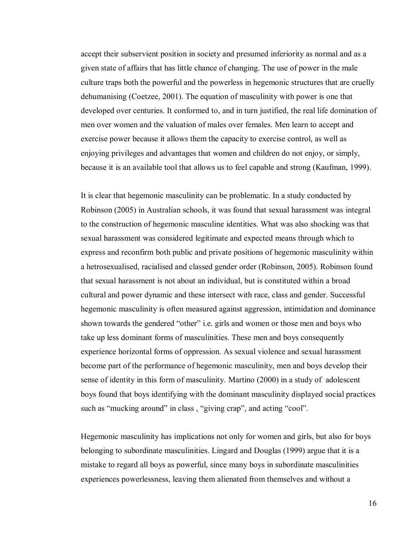accept their subservient position in society and presumed inferiority as normal and as a given state of affairs that has little chance of changing. The use of power in the male culture traps both the powerful and the powerless in hegemonic structures that are cruelly dehumanising (Coetzee, 2001). The equation of masculinity with power is one that developed over centuries. It conformed to, and in turn justified, the real life domination of men over women and the valuation of males over females. Men learn to accept and exercise power because it allows them the capacity to exercise control, as well as enjoying privileges and advantages that women and children do not enjoy, or simply, because it is an available tool that allows us to feel capable and strong (Kaufman, 1999).

It is clear that hegemonic masculinity can be problematic. In a study conducted by Robinson (2005) in Australian schools, it was found that sexual harassment was integral to the construction of hegemonic masculine identities. What was also shocking was that sexual harassment was considered legitimate and expected means through which to express and reconfirm both public and private positions of hegemonic masculinity within a hetrosexualised, racialised and classed gender order (Robinson, 2005). Robinson found that sexual harassment is not about an individual, but is constituted within a broad cultural and power dynamic and these intersect with race, class and gender. Successful hegemonic masculinity is often measured against aggression, intimidation and dominance shown towards the gendered "other" i.e. girls and women or those men and boys who take up less dominant forms of masculinities. These men and boys consequently experience horizontal forms of oppression. As sexual violence and sexual harassment become part of the performance of hegemonic masculinity, men and boys develop their sense of identity in this form of masculinity. Martino (2000) in a study of adolescent boys found that boys identifying with the dominant masculinity displayed social practices such as "mucking around" in class, "giving crap", and acting "cool".

Hegemonic masculinity has implications not only for women and girls, but also for boys belonging to subordinate masculinities. Lingard and Douglas (1999) argue that it is a mistake to regard all boys as powerful, since many boys in subordinate masculinities experiences powerlessness, leaving them alienated from themselves and without a

16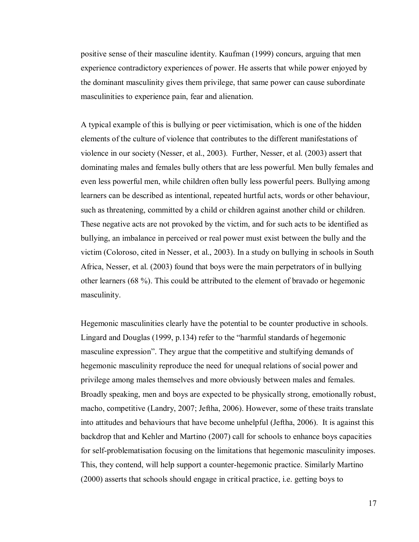positive sense of their masculine identity. Kaufman (1999) concurs, arguing that men experience contradictory experiences of power. He asserts that while power enjoyed by the dominant masculinity gives them privilege, that same power can cause subordinate masculinities to experience pain, fear and alienation.

A typical example of this is bullying or peer victimisation, which is one of the hidden elements of the culture of violence that contributes to the different manifestations of violence in our society (Nesser, et al., 2003). Further, Nesser, et al. (2003) assert that dominating males and females bully others that are less powerful. Men bully females and even less powerful men, while children often bully less powerful peers. Bullying among learners can be described as intentional, repeated hurtful acts, words or other behaviour, such as threatening, committed by a child or children against another child or children. These negative acts are not provoked by the victim, and for such acts to be identified as bullying, an imbalance in perceived or real power must exist between the bully and the victim (Coloroso, cited in Nesser, et al., 2003). In a study on bullying in schools in South Africa, Nesser, et al. (2003) found that boys were the main perpetrators of in bullying other learners (68 %). This could be attributed to the element of bravado or hegemonic masculinity.

Hegemonic masculinities clearly have the potential to be counter productive in schools. Lingard and Douglas (1999, p.134) refer to the "harmful standards of hegemonic masculine expression". They argue that the competitive and stultifying demands of hegemonic masculinity reproduce the need for unequal relations of social power and privilege among males themselves and more obviously between males and females. Broadly speaking, men and boys are expected to be physically strong, emotionally robust, macho, competitive (Landry, 2007; Jeftha, 2006). However, some of these traits translate into attitudes and behaviours that have become unhelpful (Jeftha, 2006). It is against this backdrop that and Kehler and Martino (2007) call for schools to enhance boys capacities for self-problematisation focusing on the limitations that hegemonic masculinity imposes. This, they contend, will help support a counter-hegemonic practice. Similarly Martino (2000) asserts that schools should engage in critical practice, i.e. getting boys to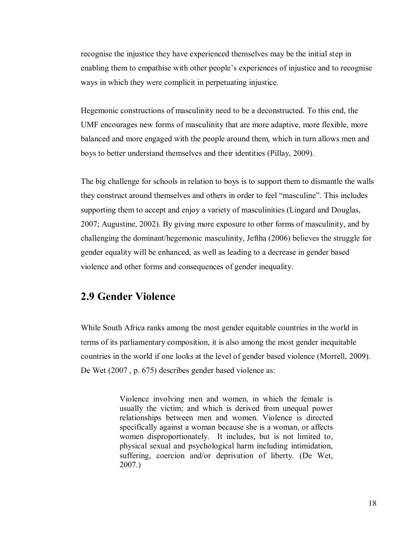recognise the injustice they have experienced themselves may be the initial step in enabling them to empathise with other people"s experiences of injustice and to recognise ways in which they were complicit in perpetuating injustice.

Hegemonic constructions of masculinity need to be a deconstructed. To this end, the UMF encourages new forms of masculinity that are more adaptive, more flexible, more balanced and more engaged with the people around them, which in turn allows men and boys to better understand themselves and their identities (Pillay, 2009).

The big challenge for schools in relation to boys is to support them to dismantle the walls they construct around themselves and others in order to feel "masculine". This includes supporting them to accept and enjoy a variety of masculinities (Lingard and Douglas, 2007; Augustine, 2002). By giving more exposure to other forms of masculinity, and by challenging the dominant/hegemonic masculinity, Jeftha (2006) believes the struggle for gender equality will be enhanced, as well as leading to a decrease in gender based violence and other forms and consequences of gender inequality.

### **2.9 Gender Violence**

While South Africa ranks among the most gender equitable countries in the world in terms of its parliamentary composition, it is also among the most gender inequitable countries in the world if one looks at the level of gender based violence (Morrell, 2009). De Wet (2007 , p. 675) describes gender based violence as:

> Violence involving men and women, in which the female is usually the victim; and which is derived from unequal power relationships between men and women. Violence is directed specifically against a woman because she is a woman, or affects women disproportionately. It includes, but is not limited to, physical sexual and psychological harm including intimidation, suffering, coercion and/or deprivation of liberty. (De Wet, 2007.)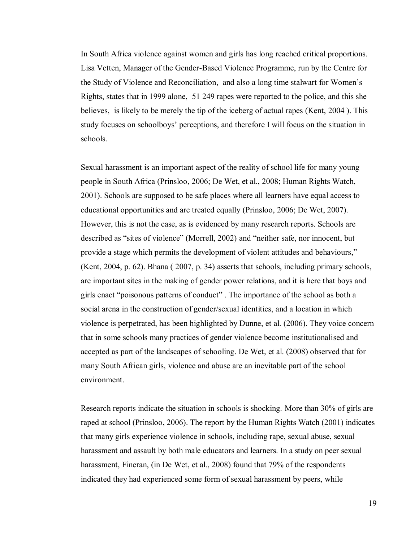In South Africa violence against women and girls has long reached critical proportions. Lisa Vetten, Manager of the Gender-Based Violence Programme, run by the Centre for the Study of Violence and Reconciliation, and also a long time stalwart for Women"s Rights, states that in 1999 alone, 51 249 rapes were reported to the police, and this she believes, is likely to be merely the tip of the iceberg of actual rapes (Kent, 2004 ). This study focuses on schoolboys" perceptions, and therefore I will focus on the situation in schools.

Sexual harassment is an important aspect of the reality of school life for many young people in South Africa (Prinsloo, 2006; De Wet, et al., 2008; Human Rights Watch, 2001). Schools are supposed to be safe places where all learners have equal access to educational opportunities and are treated equally (Prinsloo, 2006; De Wet, 2007). However, this is not the case, as is evidenced by many research reports. Schools are described as "sites of violence" (Morrell, 2002) and "neither safe, nor innocent, but provide a stage which permits the development of violent attitudes and behaviours," (Kent, 2004, p. 62). Bhana ( 2007, p. 34) asserts that schools, including primary schools, are important sites in the making of gender power relations, and it is here that boys and girls enact "poisonous patterns of conduct" . The importance of the school as both a social arena in the construction of gender/sexual identities, and a location in which violence is perpetrated, has been highlighted by Dunne, et al. (2006). They voice concern that in some schools many practices of gender violence become institutionalised and accepted as part of the landscapes of schooling. De Wet, et al. (2008) observed that for many South African girls, violence and abuse are an inevitable part of the school environment.

Research reports indicate the situation in schools is shocking. More than 30% of girls are raped at school (Prinsloo, 2006). The report by the Human Rights Watch (2001) indicates that many girls experience violence in schools, including rape, sexual abuse, sexual harassment and assault by both male educators and learners. In a study on peer sexual harassment, Fineran, (in De Wet, et al., 2008) found that 79% of the respondents indicated they had experienced some form of sexual harassment by peers, while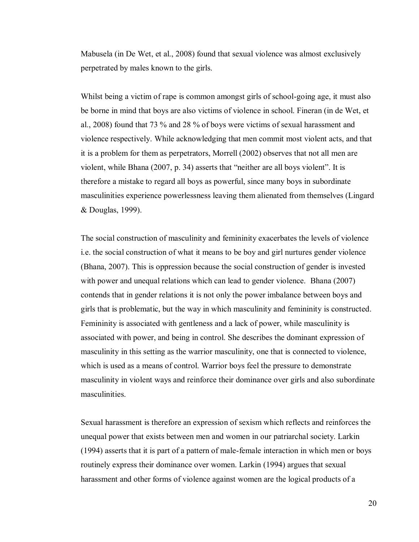Mabusela (in De Wet, et al., 2008) found that sexual violence was almost exclusively perpetrated by males known to the girls.

Whilst being a victim of rape is common amongst girls of school-going age, it must also be borne in mind that boys are also victims of violence in school. Fineran (in de Wet, et al., 2008) found that 73 % and 28 % of boys were victims of sexual harassment and violence respectively. While acknowledging that men commit most violent acts, and that it is a problem for them as perpetrators, Morrell (2002) observes that not all men are violent, while Bhana (2007, p. 34) asserts that "neither are all boys violent". It is therefore a mistake to regard all boys as powerful, since many boys in subordinate masculinities experience powerlessness leaving them alienated from themselves (Lingard & Douglas, 1999).

The social construction of masculinity and femininity exacerbates the levels of violence i.e. the social construction of what it means to be boy and girl nurtures gender violence (Bhana, 2007). This is oppression because the social construction of gender is invested with power and unequal relations which can lead to gender violence. Bhana (2007) contends that in gender relations it is not only the power imbalance between boys and girls that is problematic, but the way in which masculinity and femininity is constructed. Femininity is associated with gentleness and a lack of power, while masculinity is associated with power, and being in control. She describes the dominant expression of masculinity in this setting as the warrior masculinity, one that is connected to violence, which is used as a means of control. Warrior boys feel the pressure to demonstrate masculinity in violent ways and reinforce their dominance over girls and also subordinate masculinities.

Sexual harassment is therefore an expression of sexism which reflects and reinforces the unequal power that exists between men and women in our patriarchal society. Larkin (1994) asserts that it is part of a pattern of male-female interaction in which men or boys routinely express their dominance over women. Larkin (1994) argues that sexual harassment and other forms of violence against women are the logical products of a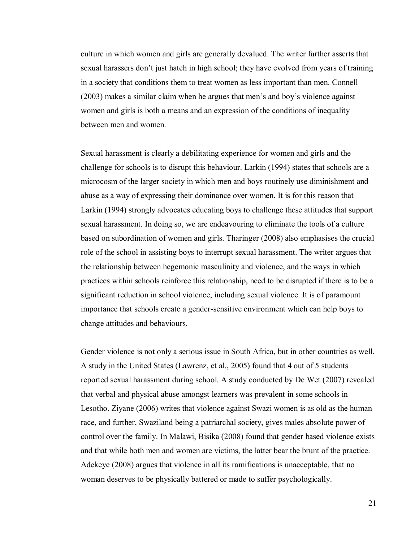culture in which women and girls are generally devalued. The writer further asserts that sexual harassers don"t just hatch in high school; they have evolved from years of training in a society that conditions them to treat women as less important than men. Connell (2003) makes a similar claim when he argues that men"s and boy"s violence against women and girls is both a means and an expression of the conditions of inequality between men and women.

Sexual harassment is clearly a debilitating experience for women and girls and the challenge for schools is to disrupt this behaviour. Larkin (1994) states that schools are a microcosm of the larger society in which men and boys routinely use diminishment and abuse as a way of expressing their dominance over women. It is for this reason that Larkin (1994) strongly advocates educating boys to challenge these attitudes that support sexual harassment. In doing so, we are endeavouring to eliminate the tools of a culture based on subordination of women and girls. Tharinger (2008) also emphasises the crucial role of the school in assisting boys to interrupt sexual harassment. The writer argues that the relationship between hegemonic masculinity and violence, and the ways in which practices within schools reinforce this relationship, need to be disrupted if there is to be a significant reduction in school violence, including sexual violence. It is of paramount importance that schools create a gender-sensitive environment which can help boys to change attitudes and behaviours.

Gender violence is not only a serious issue in South Africa, but in other countries as well. A study in the United States (Lawrenz, et al., 2005) found that 4 out of 5 students reported sexual harassment during school. A study conducted by De Wet (2007) revealed that verbal and physical abuse amongst learners was prevalent in some schools in Lesotho. Ziyane (2006) writes that violence against Swazi women is as old as the human race, and further, Swaziland being a patriarchal society, gives males absolute power of control over the family. In Malawi, Bisika (2008) found that gender based violence exists and that while both men and women are victims, the latter bear the brunt of the practice. Adekeye (2008) argues that violence in all its ramifications is unacceptable, that no woman deserves to be physically battered or made to suffer psychologically.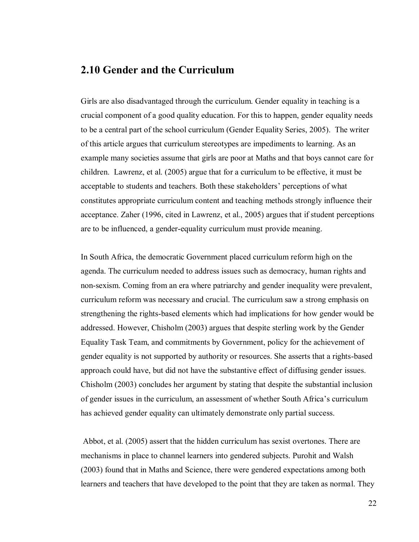#### **2.10 Gender and the Curriculum**

Girls are also disadvantaged through the curriculum. Gender equality in teaching is a crucial component of a good quality education. For this to happen, gender equality needs to be a central part of the school curriculum (Gender Equality Series, 2005). The writer of this article argues that curriculum stereotypes are impediments to learning. As an example many societies assume that girls are poor at Maths and that boys cannot care for children. Lawrenz, et al. (2005) argue that for a curriculum to be effective, it must be acceptable to students and teachers. Both these stakeholders" perceptions of what constitutes appropriate curriculum content and teaching methods strongly influence their acceptance. Zaher (1996, cited in Lawrenz, et al., 2005) argues that if student perceptions are to be influenced, a gender-equality curriculum must provide meaning.

In South Africa, the democratic Government placed curriculum reform high on the agenda. The curriculum needed to address issues such as democracy, human rights and non-sexism. Coming from an era where patriarchy and gender inequality were prevalent, curriculum reform was necessary and crucial. The curriculum saw a strong emphasis on strengthening the rights-based elements which had implications for how gender would be addressed. However, Chisholm (2003) argues that despite sterling work by the Gender Equality Task Team, and commitments by Government, policy for the achievement of gender equality is not supported by authority or resources. She asserts that a rights-based approach could have, but did not have the substantive effect of diffusing gender issues. Chisholm (2003) concludes her argument by stating that despite the substantial inclusion of gender issues in the curriculum, an assessment of whether South Africa"s curriculum has achieved gender equality can ultimately demonstrate only partial success.

 Abbot, et al. (2005) assert that the hidden curriculum has sexist overtones. There are mechanisms in place to channel learners into gendered subjects. Purohit and Walsh (2003) found that in Maths and Science, there were gendered expectations among both learners and teachers that have developed to the point that they are taken as normal. They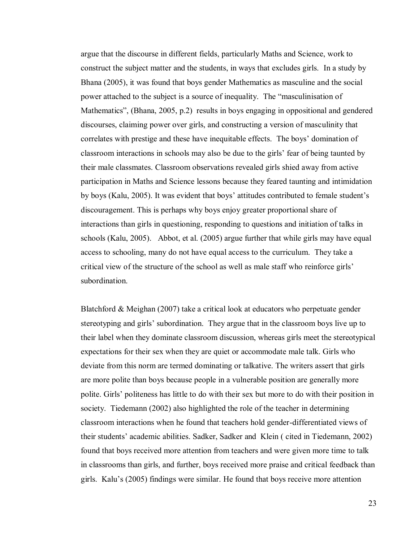argue that the discourse in different fields, particularly Maths and Science, work to construct the subject matter and the students, in ways that excludes girls. In a study by Bhana (2005), it was found that boys gender Mathematics as masculine and the social power attached to the subject is a source of inequality. The "masculinisation of Mathematics", (Bhana, 2005, p.2) results in boys engaging in oppositional and gendered discourses, claiming power over girls, and constructing a version of masculinity that correlates with prestige and these have inequitable effects. The boys" domination of classroom interactions in schools may also be due to the girls" fear of being taunted by their male classmates. Classroom observations revealed girls shied away from active participation in Maths and Science lessons because they feared taunting and intimidation by boys (Kalu, 2005). It was evident that boys' attitudes contributed to female student's discouragement. This is perhaps why boys enjoy greater proportional share of interactions than girls in questioning, responding to questions and initiation of talks in schools (Kalu, 2005). Abbot, et al. (2005) argue further that while girls may have equal access to schooling, many do not have equal access to the curriculum. They take a critical view of the structure of the school as well as male staff who reinforce girls" subordination.

Blatchford & Meighan (2007) take a critical look at educators who perpetuate gender stereotyping and girls" subordination. They argue that in the classroom boys live up to their label when they dominate classroom discussion, whereas girls meet the stereotypical expectations for their sex when they are quiet or accommodate male talk. Girls who deviate from this norm are termed dominating or talkative. The writers assert that girls are more polite than boys because people in a vulnerable position are generally more polite. Girls" politeness has little to do with their sex but more to do with their position in society. Tiedemann (2002) also highlighted the role of the teacher in determining classroom interactions when he found that teachers hold gender-differentiated views of their students" academic abilities. Sadker, Sadker and Klein ( cited in Tiedemann, 2002) found that boys received more attention from teachers and were given more time to talk in classrooms than girls, and further, boys received more praise and critical feedback than girls. Kalu"s (2005) findings were similar. He found that boys receive more attention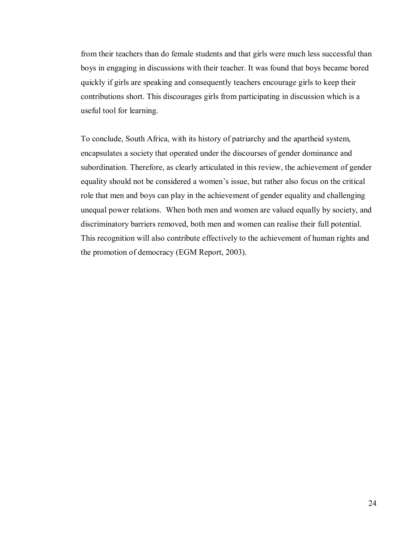from their teachers than do female students and that girls were much less successful than boys in engaging in discussions with their teacher. It was found that boys became bored quickly if girls are speaking and consequently teachers encourage girls to keep their contributions short. This discourages girls from participating in discussion which is a useful tool for learning.

To conclude, South Africa, with its history of patriarchy and the apartheid system, encapsulates a society that operated under the discourses of gender dominance and subordination. Therefore, as clearly articulated in this review, the achievement of gender equality should not be considered a women"s issue, but rather also focus on the critical role that men and boys can play in the achievement of gender equality and challenging unequal power relations. When both men and women are valued equally by society, and discriminatory barriers removed, both men and women can realise their full potential. This recognition will also contribute effectively to the achievement of human rights and the promotion of democracy (EGM Report, 2003).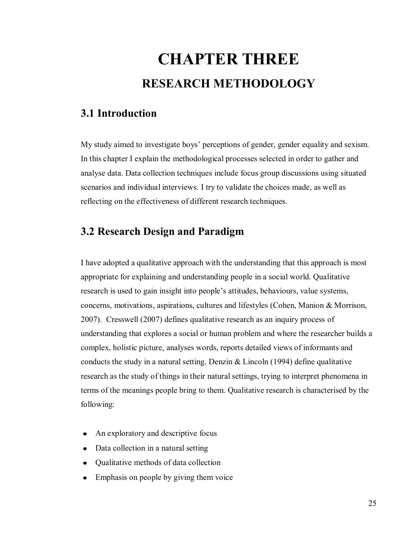# **CHAPTER THREE RESEARCH METHODOLOGY**

# **3.1 Introduction**

My study aimed to investigate boys" perceptions of gender, gender equality and sexism. In this chapter I explain the methodological processes selected in order to gather and analyse data. Data collection techniques include focus group discussions using situated scenarios and individual interviews. I try to validate the choices made, as well as reflecting on the effectiveness of different research techniques.

# **3.2 Research Design and Paradigm**

I have adopted a qualitative approach with the understanding that this approach is most appropriate for explaining and understanding people in a social world. Qualitative research is used to gain insight into people"s attitudes, behaviours, value systems, concerns, motivations, aspirations, cultures and lifestyles (Cohen, Manion & Morrison, 2007). Cresswell (2007) defines qualitative research as an inquiry process of understanding that explores a social or human problem and where the researcher builds a complex, holistic picture, analyses words, reports detailed views of informants and conducts the study in a natural setting. Denzin  $& Lincoln(1994)$  define qualitative research as the study of things in their natural settings, trying to interpret phenomena in terms of the meanings people bring to them. Qualitative research is characterised by the following:

- An exploratory and descriptive focus
- Data collection in a natural setting
- Qualitative methods of data collection
- Emphasis on people by giving them voice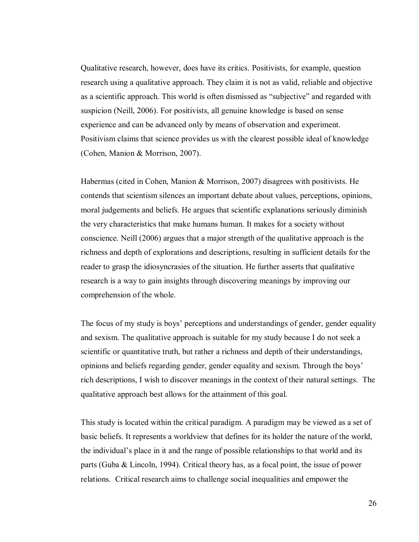Qualitative research, however, does have its critics. Positivists, for example, question research using a qualitative approach. They claim it is not as valid, reliable and objective as a scientific approach. This world is often dismissed as "subjective" and regarded with suspicion (Neill, 2006). For positivists, all genuine knowledge is based on sense experience and can be advanced only by means of observation and experiment. Positivism claims that science provides us with the clearest possible ideal of knowledge (Cohen, Manion & Morrison, 2007).

Habermas (cited in Cohen, Manion & Morrison, 2007) disagrees with positivists. He contends that scientism silences an important debate about values, perceptions, opinions, moral judgements and beliefs. He argues that scientific explanations seriously diminish the very characteristics that make humans human. It makes for a society without conscience. Neill (2006) argues that a major strength of the qualitative approach is the richness and depth of explorations and descriptions, resulting in sufficient details for the reader to grasp the idiosyncrasies of the situation. He further asserts that qualitative research is a way to gain insights through discovering meanings by improving our comprehension of the whole.

The focus of my study is boys' perceptions and understandings of gender, gender equality and sexism. The qualitative approach is suitable for my study because I do not seek a scientific or quantitative truth, but rather a richness and depth of their understandings, opinions and beliefs regarding gender, gender equality and sexism. Through the boys" rich descriptions, I wish to discover meanings in the context of their natural settings. The qualitative approach best allows for the attainment of this goal.

This study is located within the critical paradigm. A paradigm may be viewed as a set of basic beliefs. It represents a worldview that defines for its holder the nature of the world, the individual"s place in it and the range of possible relationships to that world and its parts (Guba & Lincoln, 1994). Critical theory has, as a focal point, the issue of power relations. Critical research aims to challenge social inequalities and empower the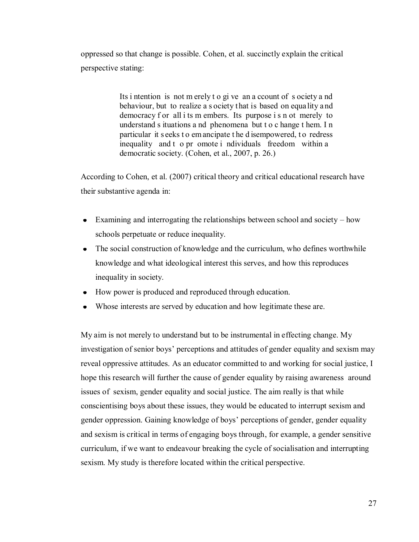oppressed so that change is possible. Cohen, et al. succinctly explain the critical perspective stating:

> Its i ntention is not m erely t o gi ve an a ccount of s ociety a nd behaviour, but to realize a s ociety that is based on equality a nd democracy f or all i ts m embers. Its purpose i s n ot merely to understand s ituations a nd phenomena but t o c hange t hem. I n particular it s eeks t o em ancipate t he d isempowered, to redress inequality and t o pr omote i ndividuals freedom within a democratic society. (Cohen, et al., 2007, p. 26.)

According to Cohen, et al. (2007) critical theory and critical educational research have their substantive agenda in:

- Examining and interrogating the relationships between school and society how schools perpetuate or reduce inequality.
- The social construction of knowledge and the curriculum, who defines worthwhile knowledge and what ideological interest this serves, and how this reproduces inequality in society.
- How power is produced and reproduced through education.
- Whose interests are served by education and how legitimate these are.

My aim is not merely to understand but to be instrumental in effecting change. My investigation of senior boys" perceptions and attitudes of gender equality and sexism may reveal oppressive attitudes. As an educator committed to and working for social justice, I hope this research will further the cause of gender equality by raising awareness around issues of sexism, gender equality and social justice. The aim really is that while conscientising boys about these issues, they would be educated to interrupt sexism and gender oppression. Gaining knowledge of boys" perceptions of gender, gender equality and sexism is critical in terms of engaging boys through, for example, a gender sensitive curriculum, if we want to endeavour breaking the cycle of socialisation and interrupting sexism. My study is therefore located within the critical perspective.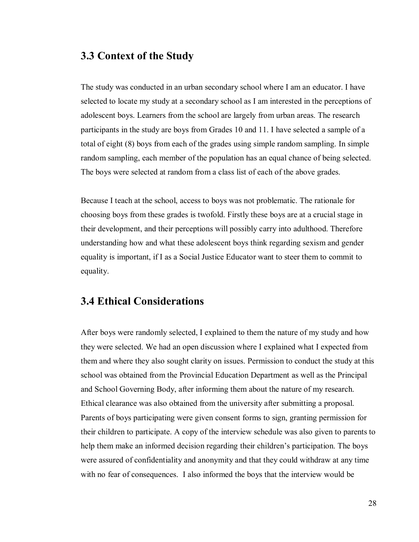#### **3.3 Context of the Study**

The study was conducted in an urban secondary school where I am an educator. I have selected to locate my study at a secondary school as I am interested in the perceptions of adolescent boys. Learners from the school are largely from urban areas. The research participants in the study are boys from Grades 10 and 11. I have selected a sample of a total of eight (8) boys from each of the grades using simple random sampling. In simple random sampling, each member of the population has an equal chance of being selected. The boys were selected at random from a class list of each of the above grades.

Because I teach at the school, access to boys was not problematic. The rationale for choosing boys from these grades is twofold. Firstly these boys are at a crucial stage in their development, and their perceptions will possibly carry into adulthood. Therefore understanding how and what these adolescent boys think regarding sexism and gender equality is important, if I as a Social Justice Educator want to steer them to commit to equality.

#### **3.4 Ethical Considerations**

After boys were randomly selected, I explained to them the nature of my study and how they were selected. We had an open discussion where I explained what I expected from them and where they also sought clarity on issues. Permission to conduct the study at this school was obtained from the Provincial Education Department as well as the Principal and School Governing Body, after informing them about the nature of my research. Ethical clearance was also obtained from the university after submitting a proposal. Parents of boys participating were given consent forms to sign, granting permission for their children to participate. A copy of the interview schedule was also given to parents to help them make an informed decision regarding their children"s participation. The boys were assured of confidentiality and anonymity and that they could withdraw at any time with no fear of consequences. I also informed the boys that the interview would be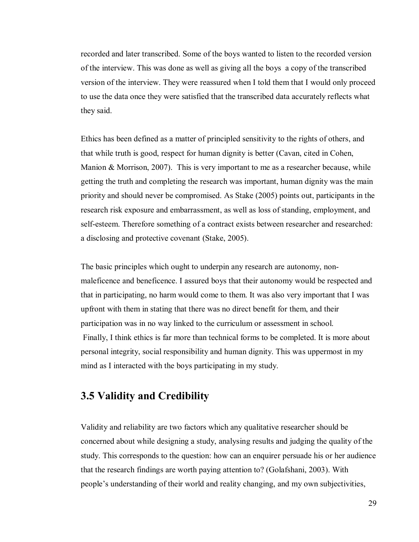recorded and later transcribed. Some of the boys wanted to listen to the recorded version of the interview. This was done as well as giving all the boys a copy of the transcribed version of the interview. They were reassured when I told them that I would only proceed to use the data once they were satisfied that the transcribed data accurately reflects what they said.

Ethics has been defined as a matter of principled sensitivity to the rights of others, and that while truth is good, respect for human dignity is better (Cavan, cited in Cohen, Manion & Morrison, 2007). This is very important to me as a researcher because, while getting the truth and completing the research was important, human dignity was the main priority and should never be compromised. As Stake (2005) points out, participants in the research risk exposure and embarrassment, as well as loss of standing, employment, and self-esteem. Therefore something of a contract exists between researcher and researched: a disclosing and protective covenant (Stake, 2005).

The basic principles which ought to underpin any research are autonomy, nonmaleficence and beneficence. I assured boys that their autonomy would be respected and that in participating, no harm would come to them. It was also very important that I was upfront with them in stating that there was no direct benefit for them, and their participation was in no way linked to the curriculum or assessment in school. Finally, I think ethics is far more than technical forms to be completed. It is more about personal integrity, social responsibility and human dignity. This was uppermost in my mind as I interacted with the boys participating in my study.

#### **3.5 Validity and Credibility**

Validity and reliability are two factors which any qualitative researcher should be concerned about while designing a study, analysing results and judging the quality of the study. This corresponds to the question: how can an enquirer persuade his or her audience that the research findings are worth paying attention to? (Golafshani, 2003). With people"s understanding of their world and reality changing, and my own subjectivities,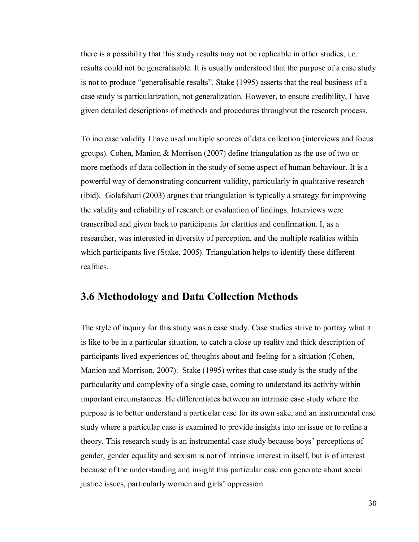there is a possibility that this study results may not be replicable in other studies, i.e. results could not be generalisable. It is usually understood that the purpose of a case study is not to produce "generalisable results". Stake (1995) asserts that the real business of a case study is particularization, not generalization. However, to ensure credibility, I have given detailed descriptions of methods and procedures throughout the research process.

To increase validity I have used multiple sources of data collection (interviews and focus groups). Cohen, Manion & Morrison (2007) define triangulation as the use of two or more methods of data collection in the study of some aspect of human behaviour. It is a powerful way of demonstrating concurrent validity, particularly in qualitative research (ibid). Golafshani (2003) argues that triangulation is typically a strategy for improving the validity and reliability of research or evaluation of findings. Interviews were transcribed and given back to participants for clarities and confirmation. I, as a researcher, was interested in diversity of perception, and the multiple realities within which participants live (Stake, 2005). Triangulation helps to identify these different realities.

#### **3.6 Methodology and Data Collection Methods**

The style of inquiry for this study was a case study. Case studies strive to portray what it is like to be in a particular situation, to catch a close up reality and thick description of participants lived experiences of, thoughts about and feeling for a situation (Cohen, Manion and Morrison, 2007). Stake (1995) writes that case study is the study of the particularity and complexity of a single case, coming to understand its activity within important circumstances. He differentiates between an intrinsic case study where the purpose is to better understand a particular case for its own sake, and an instrumental case study where a particular case is examined to provide insights into an issue or to refine a theory. This research study is an instrumental case study because boys" perceptions of gender, gender equality and sexism is not of intrinsic interest in itself, but is of interest because of the understanding and insight this particular case can generate about social justice issues, particularly women and girls' oppression.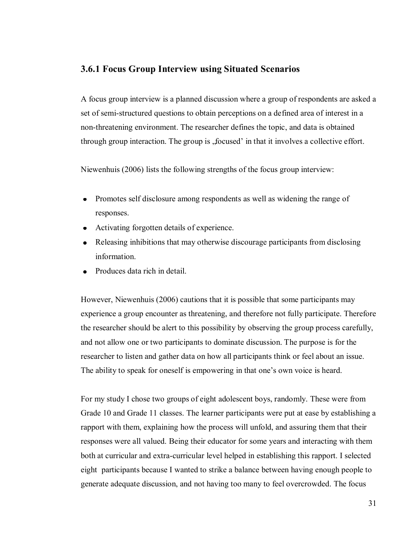#### **3.6.1 Focus Group Interview using Situated Scenarios**

A focus group interview is a planned discussion where a group of respondents are asked a set of semi-structured questions to obtain perceptions on a defined area of interest in a non-threatening environment. The researcher defines the topic, and data is obtained through group interaction. The group is , focused' in that it involves a collective effort.

Niewenhuis (2006) lists the following strengths of the focus group interview:

- Promotes self disclosure among respondents as well as widening the range of responses.
- Activating forgotten details of experience.
- Releasing inhibitions that may otherwise discourage participants from disclosing  $\bullet$ information.
- Produces data rich in detail.

However, Niewenhuis (2006) cautions that it is possible that some participants may experience a group encounter as threatening, and therefore not fully participate. Therefore the researcher should be alert to this possibility by observing the group process carefully, and not allow one or two participants to dominate discussion. The purpose is for the researcher to listen and gather data on how all participants think or feel about an issue. The ability to speak for oneself is empowering in that one's own voice is heard.

For my study I chose two groups of eight adolescent boys, randomly. These were from Grade 10 and Grade 11 classes. The learner participants were put at ease by establishing a rapport with them, explaining how the process will unfold, and assuring them that their responses were all valued. Being their educator for some years and interacting with them both at curricular and extra-curricular level helped in establishing this rapport. I selected eight participants because I wanted to strike a balance between having enough people to generate adequate discussion, and not having too many to feel overcrowded. The focus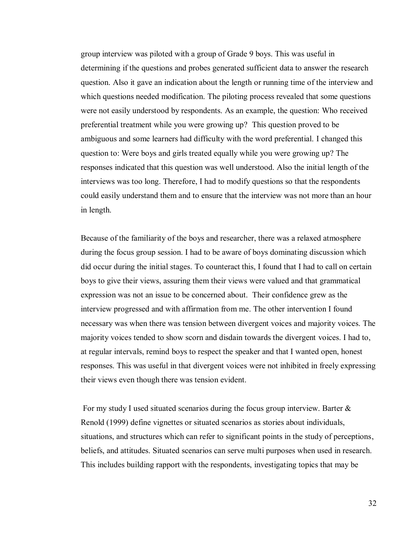group interview was piloted with a group of Grade 9 boys. This was useful in determining if the questions and probes generated sufficient data to answer the research question. Also it gave an indication about the length or running time of the interview and which questions needed modification. The piloting process revealed that some questions were not easily understood by respondents. As an example, the question: Who received preferential treatment while you were growing up? This question proved to be ambiguous and some learners had difficulty with the word preferential. I changed this question to: Were boys and girls treated equally while you were growing up? The responses indicated that this question was well understood. Also the initial length of the interviews was too long. Therefore, I had to modify questions so that the respondents could easily understand them and to ensure that the interview was not more than an hour in length.

Because of the familiarity of the boys and researcher, there was a relaxed atmosphere during the focus group session. I had to be aware of boys dominating discussion which did occur during the initial stages. To counteract this, I found that I had to call on certain boys to give their views, assuring them their views were valued and that grammatical expression was not an issue to be concerned about. Their confidence grew as the interview progressed and with affirmation from me. The other intervention I found necessary was when there was tension between divergent voices and majority voices. The majority voices tended to show scorn and disdain towards the divergent voices. I had to, at regular intervals, remind boys to respect the speaker and that I wanted open, honest responses. This was useful in that divergent voices were not inhibited in freely expressing their views even though there was tension evident.

 For my study I used situated scenarios during the focus group interview. Barter & Renold (1999) define vignettes or situated scenarios as stories about individuals, situations, and structures which can refer to significant points in the study of perceptions, beliefs, and attitudes. Situated scenarios can serve multi purposes when used in research. This includes building rapport with the respondents, investigating topics that may be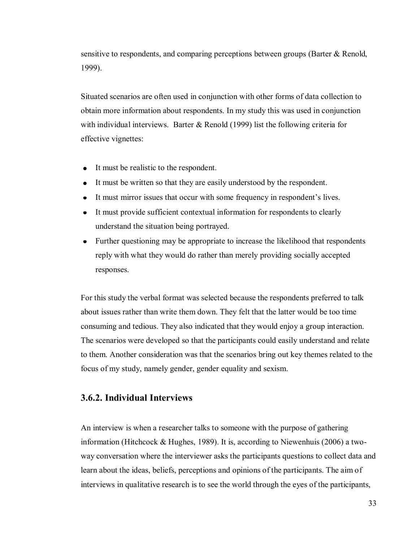sensitive to respondents, and comparing perceptions between groups (Barter & Renold, 1999).

Situated scenarios are often used in conjunction with other forms of data collection to obtain more information about respondents. In my study this was used in conjunction with individual interviews. Barter  $\&$  Renold (1999) list the following criteria for effective vignettes:

- It must be realistic to the respondent.
- It must be written so that they are easily understood by the respondent.
- It must mirror issues that occur with some frequency in respondent's lives.
- It must provide sufficient contextual information for respondents to clearly understand the situation being portrayed.
- Further questioning may be appropriate to increase the likelihood that respondents reply with what they would do rather than merely providing socially accepted responses.

For this study the verbal format was selected because the respondents preferred to talk about issues rather than write them down. They felt that the latter would be too time consuming and tedious. They also indicated that they would enjoy a group interaction. The scenarios were developed so that the participants could easily understand and relate to them. Another consideration was that the scenarios bring out key themes related to the focus of my study, namely gender, gender equality and sexism.

#### **3.6.2. Individual Interviews**

An interview is when a researcher talks to someone with the purpose of gathering information (Hitchcock & Hughes, 1989). It is, according to Niewenhuis (2006) a twoway conversation where the interviewer asks the participants questions to collect data and learn about the ideas, beliefs, perceptions and opinions of the participants. The aim of interviews in qualitative research is to see the world through the eyes of the participants,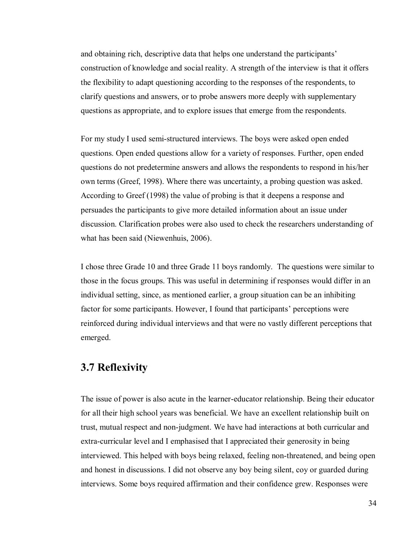and obtaining rich, descriptive data that helps one understand the participants" construction of knowledge and social reality. A strength of the interview is that it offers the flexibility to adapt questioning according to the responses of the respondents, to clarify questions and answers, or to probe answers more deeply with supplementary questions as appropriate, and to explore issues that emerge from the respondents.

For my study I used semi-structured interviews. The boys were asked open ended questions. Open ended questions allow for a variety of responses. Further, open ended questions do not predetermine answers and allows the respondents to respond in his/her own terms (Greef, 1998). Where there was uncertainty, a probing question was asked. According to Greef (1998) the value of probing is that it deepens a response and persuades the participants to give more detailed information about an issue under discussion. Clarification probes were also used to check the researchers understanding of what has been said (Niewenhuis, 2006).

I chose three Grade 10 and three Grade 11 boys randomly. The questions were similar to those in the focus groups. This was useful in determining if responses would differ in an individual setting, since, as mentioned earlier, a group situation can be an inhibiting factor for some participants. However, I found that participants' perceptions were reinforced during individual interviews and that were no vastly different perceptions that emerged.

## **3.7 Reflexivity**

The issue of power is also acute in the learner-educator relationship. Being their educator for all their high school years was beneficial. We have an excellent relationship built on trust, mutual respect and non-judgment. We have had interactions at both curricular and extra-curricular level and I emphasised that I appreciated their generosity in being interviewed. This helped with boys being relaxed, feeling non-threatened, and being open and honest in discussions. I did not observe any boy being silent, coy or guarded during interviews. Some boys required affirmation and their confidence grew. Responses were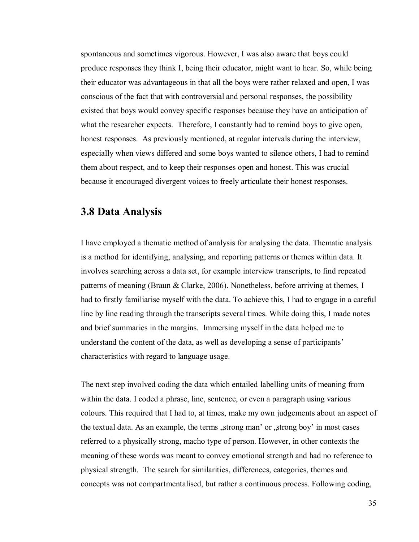spontaneous and sometimes vigorous. However, I was also aware that boys could produce responses they think I, being their educator, might want to hear. So, while being their educator was advantageous in that all the boys were rather relaxed and open, I was conscious of the fact that with controversial and personal responses, the possibility existed that boys would convey specific responses because they have an anticipation of what the researcher expects. Therefore, I constantly had to remind boys to give open, honest responses. As previously mentioned, at regular intervals during the interview, especially when views differed and some boys wanted to silence others, I had to remind them about respect, and to keep their responses open and honest. This was crucial because it encouraged divergent voices to freely articulate their honest responses.

## **3.8 Data Analysis**

I have employed a thematic method of analysis for analysing the data. Thematic analysis is a method for identifying, analysing, and reporting patterns or themes within data. It involves searching across a data set, for example interview transcripts, to find repeated patterns of meaning (Braun & Clarke, 2006). Nonetheless, before arriving at themes, I had to firstly familiarise myself with the data. To achieve this, I had to engage in a careful line by line reading through the transcripts several times. While doing this, I made notes and brief summaries in the margins. Immersing myself in the data helped me to understand the content of the data, as well as developing a sense of participants' characteristics with regard to language usage.

The next step involved coding the data which entailed labelling units of meaning from within the data. I coded a phrase, line, sentence, or even a paragraph using various colours. This required that I had to, at times, make my own judgements about an aspect of the textual data. As an example, the terms , strong man' or , strong boy' in most cases referred to a physically strong, macho type of person. However, in other contexts the meaning of these words was meant to convey emotional strength and had no reference to physical strength. The search for similarities, differences, categories, themes and concepts was not compartmentalised, but rather a continuous process. Following coding,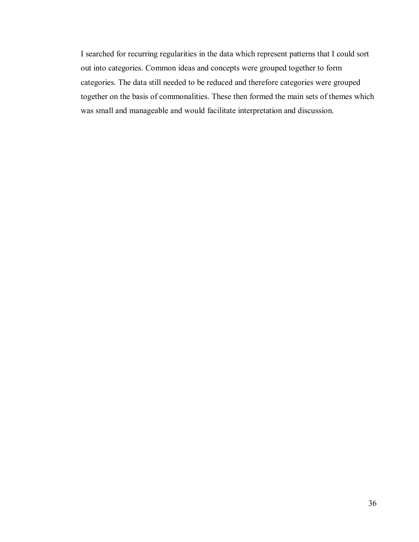I searched for recurring regularities in the data which represent patterns that I could sort out into categories. Common ideas and concepts were grouped together to form categories. The data still needed to be reduced and therefore categories were grouped together on the basis of commonalities. These then formed the main sets of themes which was small and manageable and would facilitate interpretation and discussion.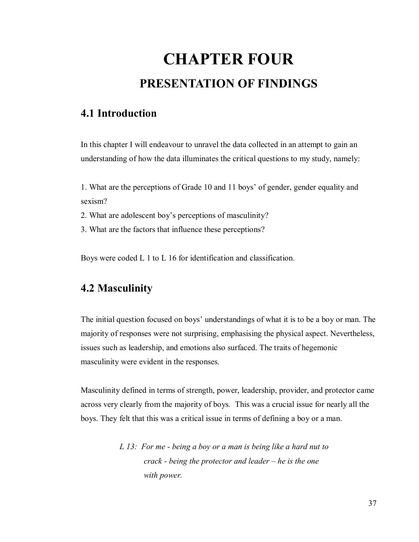# **CHAPTER FOUR PRESENTATION OF FINDINGS**

# **4.1 Introduction**

In this chapter I will endeavour to unravel the data collected in an attempt to gain an understanding of how the data illuminates the critical questions to my study, namely:

1. What are the perceptions of Grade 10 and 11 boys" of gender, gender equality and sexism?

- 2. What are adolescent boy"s perceptions of masculinity?
- 3. What are the factors that influence these perceptions?

Boys were coded L 1 to L 16 for identification and classification.

# **4.2 Masculinity**

The initial question focused on boys' understandings of what it is to be a boy or man. The majority of responses were not surprising, emphasising the physical aspect. Nevertheless, issues such as leadership, and emotions also surfaced. The traits of hegemonic masculinity were evident in the responses.

Masculinity defined in terms of strength, power, leadership, provider, and protector came across very clearly from the majority of boys. This was a crucial issue for nearly all the boys. They felt that this was a critical issue in terms of defining a boy or a man.

> *L 13: For me - being a boy or a man is being like a hard nut to crack - being the protector and leader – he is the one with power.*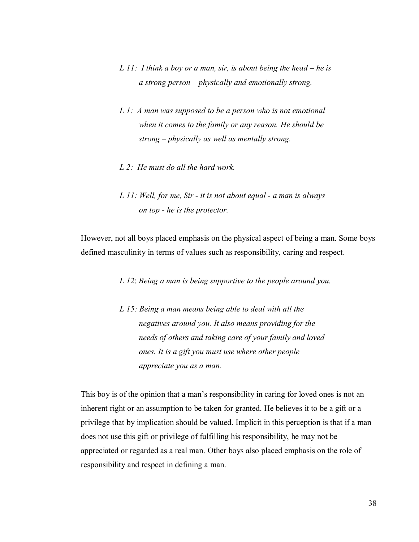- *L 11: I think a boy or a man, sir, is about being the head he is a strong person – physically and emotionally strong.*
- *L 1: A man was supposed to be a person who is not emotional when it comes to the family or any reason. He should be strong – physically as well as mentally strong.*
- *L 2: He must do all the hard work.*
- *L 11: Well, for me, Sir it is not about equal a man is always on top - he is the protector.*

However, not all boys placed emphasis on the physical aspect of being a man. Some boys defined masculinity in terms of values such as responsibility, caring and respect.

*L 12*: *Being a man is being supportive to the people around you.* 

*L 15: Being a man means being able to deal with all the negatives around you. It also means providing for the needs of others and taking care of your family and loved ones. It is a gift you must use where other people appreciate you as a man.* 

This boy is of the opinion that a man"s responsibility in caring for loved ones is not an inherent right or an assumption to be taken for granted. He believes it to be a gift or a privilege that by implication should be valued. Implicit in this perception is that if a man does not use this gift or privilege of fulfilling his responsibility, he may not be appreciated or regarded as a real man. Other boys also placed emphasis on the role of responsibility and respect in defining a man.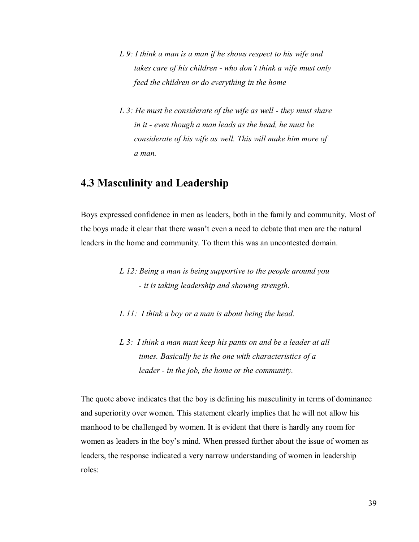- *L 9: I think a man is a man if he shows respect to his wife and takes care of his children - who don't think a wife must only feed the children or do everything in the home*
- *L 3: He must be considerate of the wife as well they must share in it - even though a man leads as the head, he must be considerate of his wife as well. This will make him more of a man.*

# **4.3 Masculinity and Leadership**

Boys expressed confidence in men as leaders, both in the family and community. Most of the boys made it clear that there wasn"t even a need to debate that men are the natural leaders in the home and community. To them this was an uncontested domain.

- *L 12: Being a man is being supportive to the people around you - it is taking leadership and showing strength.*
- *L 11: I think a boy or a man is about being the head.*
- *L 3: I think a man must keep his pants on and be a leader at all times. Basically he is the one with characteristics of a leader - in the job, the home or the community.*

The quote above indicates that the boy is defining his masculinity in terms of dominance and superiority over women. This statement clearly implies that he will not allow his manhood to be challenged by women. It is evident that there is hardly any room for women as leaders in the boy"s mind. When pressed further about the issue of women as leaders, the response indicated a very narrow understanding of women in leadership roles: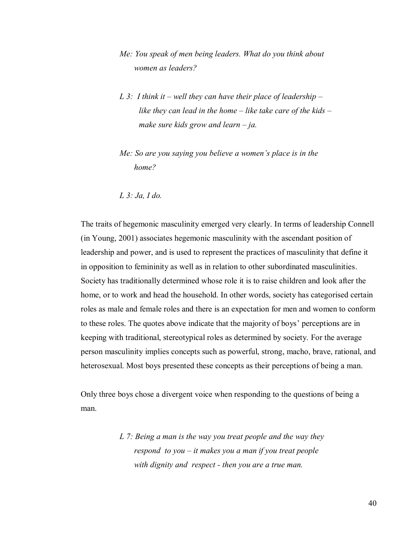- *Me: You speak of men being leaders. What do you think about women as leaders?*
- *L 3: I think it well they can have their place of leadership like they can lead in the home – like take care of the kids – make sure kids grow and learn – ja.*
- *Me: So are you saying you believe a women's place is in the home?*
- *L 3: Ja, I do.*

The traits of hegemonic masculinity emerged very clearly. In terms of leadership Connell (in Young, 2001) associates hegemonic masculinity with the ascendant position of leadership and power, and is used to represent the practices of masculinity that define it in opposition to femininity as well as in relation to other subordinated masculinities. Society has traditionally determined whose role it is to raise children and look after the home, or to work and head the household. In other words, society has categorised certain roles as male and female roles and there is an expectation for men and women to conform to these roles. The quotes above indicate that the majority of boys" perceptions are in keeping with traditional, stereotypical roles as determined by society. For the average person masculinity implies concepts such as powerful, strong, macho, brave, rational, and heterosexual. Most boys presented these concepts as their perceptions of being a man.

Only three boys chose a divergent voice when responding to the questions of being a man.

> *L 7: Being a man is the way you treat people and the way they respond to you – it makes you a man if you treat people with dignity and respect - then you are a true man.*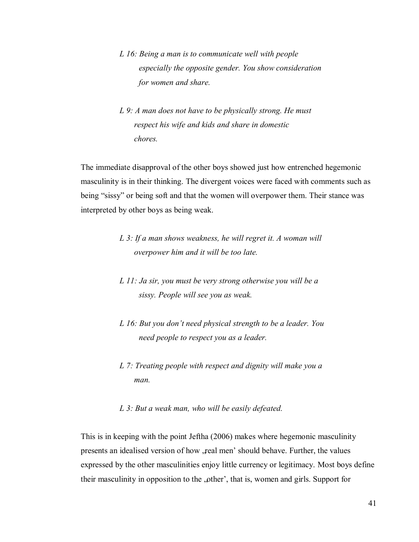- *L 16: Being a man is to communicate well with people especially the opposite gender. You show consideration for women and share.*
- *L 9: A man does not have to be physically strong. He must respect his wife and kids and share in domestic chores.*

The immediate disapproval of the other boys showed just how entrenched hegemonic masculinity is in their thinking. The divergent voices were faced with comments such as being "sissy" or being soft and that the women will overpower them. Their stance was interpreted by other boys as being weak.

- *L 3: If a man shows weakness, he will regret it. A woman will overpower him and it will be too late.*
- *L 11: Ja sir, you must be very strong otherwise you will be a sissy. People will see you as weak.*
- *L 16: But you don't need physical strength to be a leader. You need people to respect you as a leader.*
- *L 7: Treating people with respect and dignity will make you a man.*

#### *L 3: But a weak man, who will be easily defeated.*

This is in keeping with the point Jeftha (2006) makes where hegemonic masculinity presents an idealised version of how , real men' should behave. Further, the values expressed by the other masculinities enjoy little currency or legitimacy. Most boys define their masculinity in opposition to the "other', that is, women and girls. Support for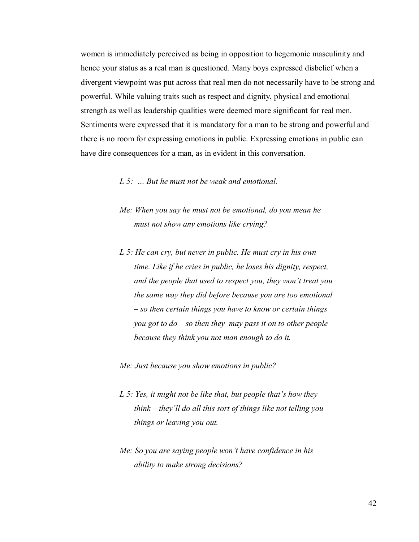women is immediately perceived as being in opposition to hegemonic masculinity and hence your status as a real man is questioned. Many boys expressed disbelief when a divergent viewpoint was put across that real men do not necessarily have to be strong and powerful. While valuing traits such as respect and dignity, physical and emotional strength as well as leadership qualities were deemed more significant for real men. Sentiments were expressed that it is mandatory for a man to be strong and powerful and there is no room for expressing emotions in public. Expressing emotions in public can have dire consequences for a man, as in evident in this conversation.

*L 5: … But he must not be weak and emotional.* 

- *Me: When you say he must not be emotional, do you mean he must not show any emotions like crying?*
- *L 5: He can cry, but never in public. He must cry in his own time. Like if he cries in public, he loses his dignity, respect, and the people that used to respect you, they won't treat you the same way they did before because you are too emotional – so then certain things you have to know or certain things you got to do – so then they may pass it on to other people because they think you not man enough to do it.*

*Me: Just because you show emotions in public?* 

- *L 5: Yes, it might not be like that, but people that's how they think – they'll do all this sort of things like not telling you things or leaving you out.*
- *Me: So you are saying people won't have confidence in his ability to make strong decisions?*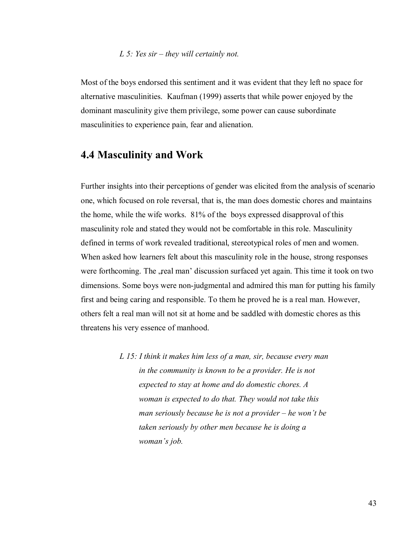#### *L 5: Yes sir – they will certainly not.*

Most of the boys endorsed this sentiment and it was evident that they left no space for alternative masculinities. Kaufman (1999) asserts that while power enjoyed by the dominant masculinity give them privilege, some power can cause subordinate masculinities to experience pain, fear and alienation.

#### **4.4 Masculinity and Work**

Further insights into their perceptions of gender was elicited from the analysis of scenario one, which focused on role reversal, that is, the man does domestic chores and maintains the home, while the wife works. 81% of the boys expressed disapproval of this masculinity role and stated they would not be comfortable in this role. Masculinity defined in terms of work revealed traditional, stereotypical roles of men and women. When asked how learners felt about this masculinity role in the house, strong responses were forthcoming. The , real man' discussion surfaced yet again. This time it took on two dimensions. Some boys were non-judgmental and admired this man for putting his family first and being caring and responsible. To them he proved he is a real man. However, others felt a real man will not sit at home and be saddled with domestic chores as this threatens his very essence of manhood.

> *L 15: I think it makes him less of a man, sir, because every man in the community is known to be a provider. He is not expected to stay at home and do domestic chores. A woman is expected to do that. They would not take this man seriously because he is not a provider – he won't be taken seriously by other men because he is doing a woman's job.*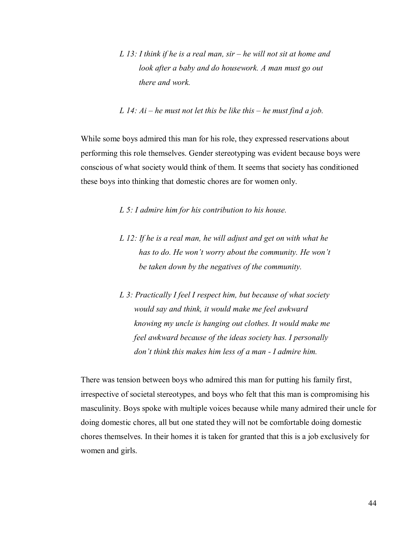- *L 13: I think if he is a real man, sir he will not sit at home and look after a baby and do housework. A man must go out there and work.*
- *L 14: Ai he must not let this be like this he must find a job.*

While some boys admired this man for his role, they expressed reservations about performing this role themselves. Gender stereotyping was evident because boys were conscious of what society would think of them. It seems that society has conditioned these boys into thinking that domestic chores are for women only.

*L 5: I admire him for his contribution to his house.* 

- *L 12: If he is a real man, he will adjust and get on with what he has to do. He won't worry about the community. He won't be taken down by the negatives of the community.*
- *L 3: Practically I feel I respect him, but because of what society would say and think, it would make me feel awkward knowing my uncle is hanging out clothes. It would make me feel awkward because of the ideas society has. I personally don't think this makes him less of a man - I admire him.*

There was tension between boys who admired this man for putting his family first, irrespective of societal stereotypes, and boys who felt that this man is compromising his masculinity. Boys spoke with multiple voices because while many admired their uncle for doing domestic chores, all but one stated they will not be comfortable doing domestic chores themselves. In their homes it is taken for granted that this is a job exclusively for women and girls.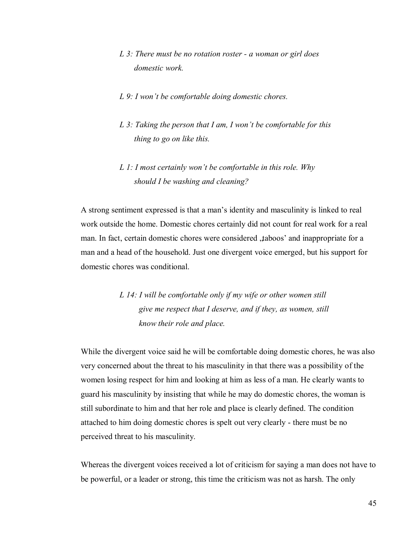- *L 3: There must be no rotation roster a woman or girl does domestic work.*
- *L 9: I won't be comfortable doing domestic chores.*
- *L 3: Taking the person that I am, I won't be comfortable for this thing to go on like this.*
- *L 1: I most certainly won't be comfortable in this role. Why should I be washing and cleaning?*

A strong sentiment expressed is that a man"s identity and masculinity is linked to real work outside the home. Domestic chores certainly did not count for real work for a real man. In fact, certain domestic chores were considered , taboos' and inappropriate for a man and a head of the household. Just one divergent voice emerged, but his support for domestic chores was conditional.

> *L 14: I will be comfortable only if my wife or other women still give me respect that I deserve, and if they, as women, still know their role and place.*

While the divergent voice said he will be comfortable doing domestic chores, he was also very concerned about the threat to his masculinity in that there was a possibility of the women losing respect for him and looking at him as less of a man. He clearly wants to guard his masculinity by insisting that while he may do domestic chores, the woman is still subordinate to him and that her role and place is clearly defined. The condition attached to him doing domestic chores is spelt out very clearly - there must be no perceived threat to his masculinity.

Whereas the divergent voices received a lot of criticism for saying a man does not have to be powerful, or a leader or strong, this time the criticism was not as harsh. The only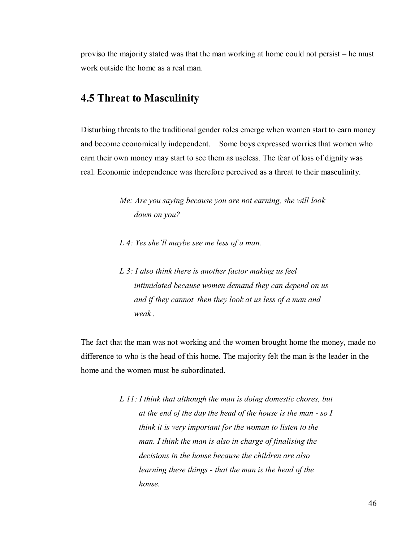proviso the majority stated was that the man working at home could not persist – he must work outside the home as a real man.

#### **4.5 Threat to Masculinity**

Disturbing threats to the traditional gender roles emerge when women start to earn money and become economically independent. Some boys expressed worries that women who earn their own money may start to see them as useless. The fear of loss of dignity was real. Economic independence was therefore perceived as a threat to their masculinity.

> *Me: Are you saying because you are not earning, she will look down on you?*

- *L 4: Yes she'll maybe see me less of a man.*
- *L 3: I also think there is another factor making us feel intimidated because women demand they can depend on us and if they cannot then they look at us less of a man and weak .*

The fact that the man was not working and the women brought home the money, made no difference to who is the head of this home. The majority felt the man is the leader in the home and the women must be subordinated.

> *L 11: I think that although the man is doing domestic chores, but at the end of the day the head of the house is the man - so I think it is very important for the woman to listen to the man. I think the man is also in charge of finalising the decisions in the house because the children are also learning these things - that the man is the head of the house.*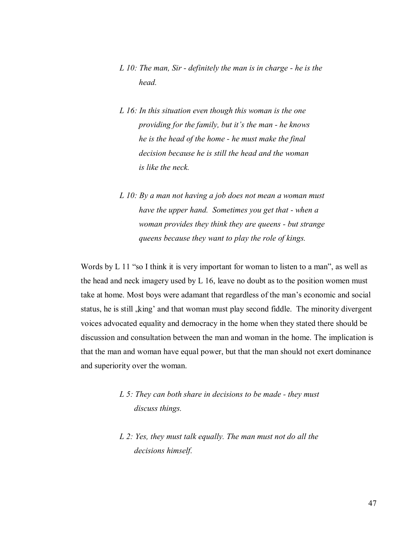- *L 10: The man, Sir definitely the man is in charge he is the head.*
- *L 16: In this situation even though this woman is the one providing for the family, but it's the man - he knows he is the head of the home - he must make the final decision because he is still the head and the woman is like the neck.*
- *L 10: By a man not having a job does not mean a woman must have the upper hand. Sometimes you get that - when a woman provides they think they are queens - but strange queens because they want to play the role of kings.*

Words by L 11 "so I think it is very important for woman to listen to a man", as well as the head and neck imagery used by L 16, leave no doubt as to the position women must take at home. Most boys were adamant that regardless of the man"s economic and social status, he is still , king' and that woman must play second fiddle. The minority divergent voices advocated equality and democracy in the home when they stated there should be discussion and consultation between the man and woman in the home. The implication is that the man and woman have equal power, but that the man should not exert dominance and superiority over the woman.

- *L 5: They can both share in decisions to be made they must discuss things.*
- *L 2: Yes, they must talk equally. The man must not do all the decisions himself.*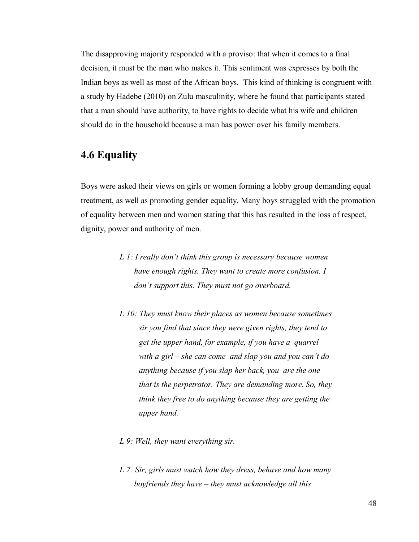The disapproving majority responded with a proviso: that when it comes to a final decision, it must be the man who makes it. This sentiment was expresses by both the Indian boys as well as most of the African boys. This kind of thinking is congruent with a study by Hadebe (2010) on Zulu masculinity, where he found that participants stated that a man should have authority, to have rights to decide what his wife and children should do in the household because a man has power over his family members.

# **4.6 Equality**

Boys were asked their views on girls or women forming a lobby group demanding equal treatment, as well as promoting gender equality. Many boys struggled with the promotion of equality between men and women stating that this has resulted in the loss of respect, dignity, power and authority of men.

- *L 1: I really don't think this group is necessary because women have enough rights. They want to create more confusion. I don't support this. They must not go overboard.*
- *L 10: They must know their places as women because sometimes sir you find that since they were given rights, they tend to get the upper hand, for example, if you have a quarrel with a girl – she can come and slap you and you can't do anything because if you slap her back, you are the one that is the perpetrator. They are demanding more. So, they think they free to do anything because they are getting the upper hand.*
- *L 9: Well, they want everything sir.*
- *L 7: Sir, girls must watch how they dress, behave and how many boyfriends they have – they must acknowledge all this*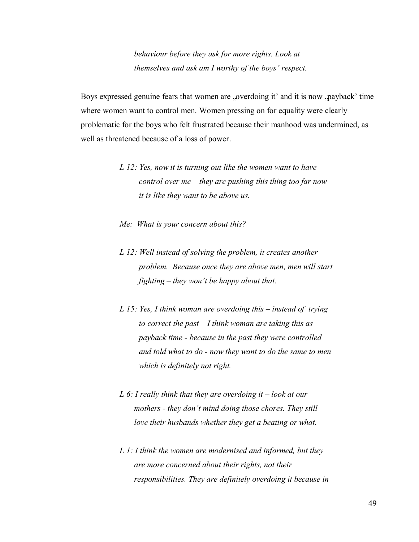*behaviour before they ask for more rights. Look at themselves and ask am I worthy of the boys' respect.* 

Boys expressed genuine fears that women are "overdoing it' and it is now "payback' time where women want to control men. Women pressing on for equality were clearly problematic for the boys who felt frustrated because their manhood was undermined, as well as threatened because of a loss of power.

- *L 12: Yes, now it is turning out like the women want to have control over me – they are pushing this thing too far now – it is like they want to be above us.*
- *Me: What is your concern about this?*
- *L 12: Well instead of solving the problem, it creates another problem. Because once they are above men, men will start fighting – they won't be happy about that.*
- *L 15: Yes, I think woman are overdoing this instead of trying to correct the past – I think woman are taking this as payback time - because in the past they were controlled and told what to do - now they want to do the same to men which is definitely not right.*
- *L 6: I really think that they are overdoing it look at our mothers - they don't mind doing those chores. They still love their husbands whether they get a beating or what.*
- *L 1: I think the women are modernised and informed, but they are more concerned about their rights, not their responsibilities. They are definitely overdoing it because in*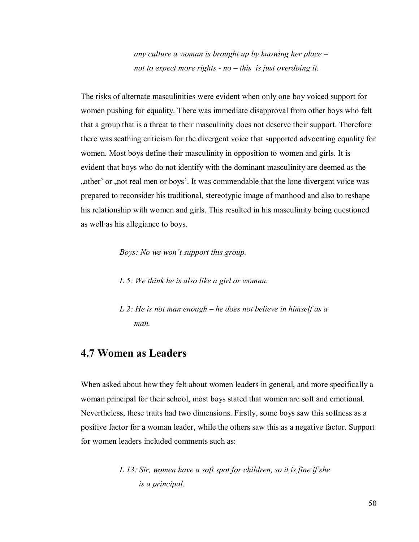*any culture a woman is brought up by knowing her place – not to expect more rights - no – this is just overdoing it.* 

The risks of alternate masculinities were evident when only one boy voiced support for women pushing for equality. There was immediate disapproval from other boys who felt that a group that is a threat to their masculinity does not deserve their support. Therefore there was scathing criticism for the divergent voice that supported advocating equality for women. Most boys define their masculinity in opposition to women and girls. It is evident that boys who do not identify with the dominant masculinity are deemed as the "other" or "not real men or boys". It was commendable that the lone divergent voice was prepared to reconsider his traditional, stereotypic image of manhood and also to reshape his relationship with women and girls. This resulted in his masculinity being questioned as well as his allegiance to boys.

*Boys: No we won't support this group.* 

*L 5: We think he is also like a girl or woman.* 

*L 2: He is not man enough – he does not believe in himself as a man.* 

#### **4.7 Women as Leaders**

When asked about how they felt about women leaders in general, and more specifically a woman principal for their school, most boys stated that women are soft and emotional. Nevertheless, these traits had two dimensions. Firstly, some boys saw this softness as a positive factor for a woman leader, while the others saw this as a negative factor. Support for women leaders included comments such as:

> *L 13: Sir, women have a soft spot for children, so it is fine if she is a principal.*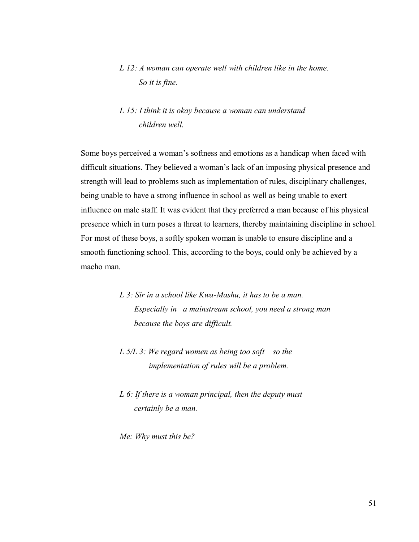#### *L 12: A woman can operate well with children like in the home. So it is fine.*

#### *L 15: I think it is okay because a woman can understand children well.*

Some boys perceived a woman"s softness and emotions as a handicap when faced with difficult situations. They believed a woman"s lack of an imposing physical presence and strength will lead to problems such as implementation of rules, disciplinary challenges, being unable to have a strong influence in school as well as being unable to exert influence on male staff. It was evident that they preferred a man because of his physical presence which in turn poses a threat to learners, thereby maintaining discipline in school. For most of these boys, a softly spoken woman is unable to ensure discipline and a smooth functioning school. This, according to the boys, could only be achieved by a macho man.

> *L 3: Sir in a school like Kwa-Mashu, it has to be a man. Especially in a mainstream school, you need a strong man because the boys are difficult.*

- *L 5/L 3: We regard women as being too soft so the implementation of rules will be a problem.*
- *L 6: If there is a woman principal, then the deputy must certainly be a man.*

*Me: Why must this be?*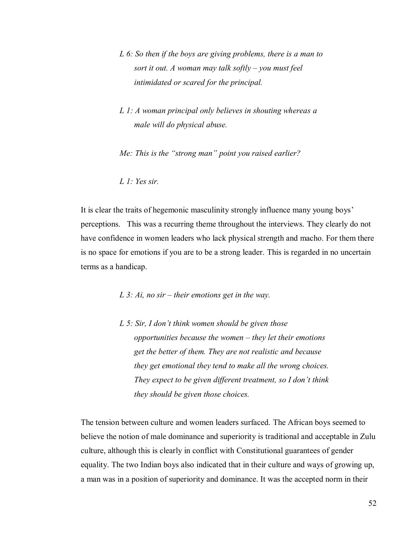- *L 6: So then if the boys are giving problems, there is a man to sort it out. A woman may talk softly – you must feel intimidated or scared for the principal.*
- *L 1: A woman principal only believes in shouting whereas a male will do physical abuse.*

*Me: This is the "strong man" point you raised earlier?* 

*L 1: Yes sir.* 

It is clear the traits of hegemonic masculinity strongly influence many young boys' perceptions. This was a recurring theme throughout the interviews. They clearly do not have confidence in women leaders who lack physical strength and macho. For them there is no space for emotions if you are to be a strong leader. This is regarded in no uncertain terms as a handicap.

*L 3: Ai, no sir – their emotions get in the way.* 

*L 5: Sir, I don't think women should be given those opportunities because the women – they let their emotions get the better of them. They are not realistic and because they get emotional they tend to make all the wrong choices. They expect to be given different treatment, so I don't think they should be given those choices.* 

The tension between culture and women leaders surfaced. The African boys seemed to believe the notion of male dominance and superiority is traditional and acceptable in Zulu culture, although this is clearly in conflict with Constitutional guarantees of gender equality. The two Indian boys also indicated that in their culture and ways of growing up, a man was in a position of superiority and dominance. It was the accepted norm in their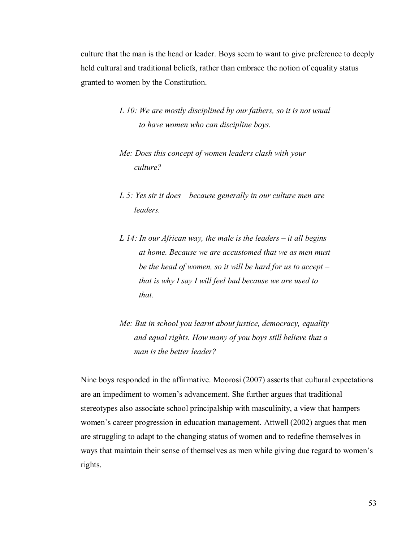culture that the man is the head or leader. Boys seem to want to give preference to deeply held cultural and traditional beliefs, rather than embrace the notion of equality status granted to women by the Constitution.

- *L 10: We are mostly disciplined by our fathers, so it is not usual to have women who can discipline boys.*
- *Me: Does this concept of women leaders clash with your culture?*
- *L 5: Yes sir it does because generally in our culture men are leaders.*
- *L 14: In our African way, the male is the leaders it all begins at home. Because we are accustomed that we as men must be the head of women, so it will be hard for us to accept – that is why I say I will feel bad because we are used to that.*
- *Me: But in school you learnt about justice, democracy, equality and equal rights. How many of you boys still believe that a man is the better leader?*

Nine boys responded in the affirmative. Moorosi (2007) asserts that cultural expectations are an impediment to women"s advancement. She further argues that traditional stereotypes also associate school principalship with masculinity, a view that hampers women's career progression in education management. Attwell (2002) argues that men are struggling to adapt to the changing status of women and to redefine themselves in ways that maintain their sense of themselves as men while giving due regard to women"s rights.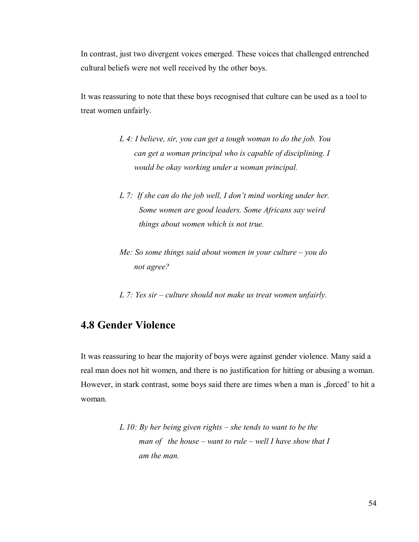In contrast, just two divergent voices emerged. These voices that challenged entrenched cultural beliefs were not well received by the other boys.

It was reassuring to note that these boys recognised that culture can be used as a tool to treat women unfairly.

- *L 4: I believe, sir, you can get a tough woman to do the job. You can get a woman principal who is capable of disciplining. I would be okay working under a woman principal.*
- *L 7: If she can do the job well, I don't mind working under her. Some women are good leaders. Some Africans say weird things about women which is not true.*
- *Me: So some things said about women in your culture you do not agree?*
- *L 7: Yes sir culture should not make us treat women unfairly.*

## **4.8 Gender Violence**

It was reassuring to hear the majority of boys were against gender violence. Many said a real man does not hit women, and there is no justification for hitting or abusing a woman. However, in stark contrast, some boys said there are times when a man is "forced' to hit a woman.

```
L 10: By her being given rights – she tends to want to be the 
man of the house – want to rule – well I have show that I 
 am the man.
```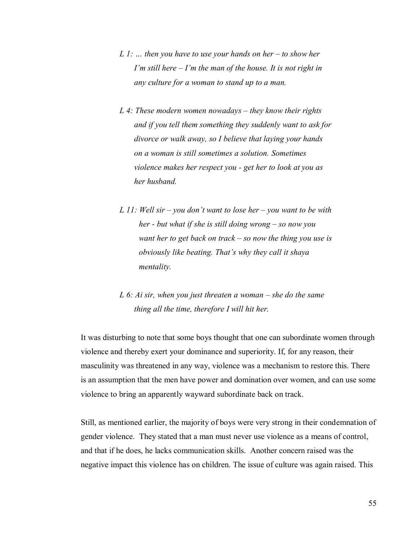- *L 1: … then you have to use your hands on her to show her I'm still here – I'm the man of the house. It is not right in any culture for a woman to stand up to a man.*
- *L 4: These modern women nowadays they know their rights and if you tell them something they suddenly want to ask for divorce or walk away, so I believe that laying your hands on a woman is still sometimes a solution. Sometimes violence makes her respect you - get her to look at you as her husband.*
- *L 11: Well sir you don't want to lose her you want to be with her - but what if she is still doing wrong – so now you want her to get back on track – so now the thing you use is obviously like beating. That's why they call it shaya mentality.*
- *L 6: Ai sir, when you just threaten a woman she do the same thing all the time, therefore I will hit her.*

It was disturbing to note that some boys thought that one can subordinate women through violence and thereby exert your dominance and superiority. If, for any reason, their masculinity was threatened in any way, violence was a mechanism to restore this. There is an assumption that the men have power and domination over women, and can use some violence to bring an apparently wayward subordinate back on track.

Still, as mentioned earlier, the majority of boys were very strong in their condemnation of gender violence. They stated that a man must never use violence as a means of control, and that if he does, he lacks communication skills. Another concern raised was the negative impact this violence has on children. The issue of culture was again raised. This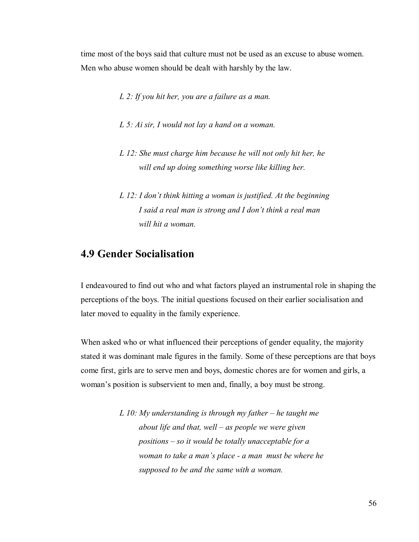time most of the boys said that culture must not be used as an excuse to abuse women. Men who abuse women should be dealt with harshly by the law.

- *L 2: If you hit her, you are a failure as a man.*
- *L 5: Ai sir, I would not lay a hand on a woman.*
- *L 12: She must charge him because he will not only hit her, he will end up doing something worse like killing her.*
- *L 12: I don't think hitting a woman is justified. At the beginning I said a real man is strong and I don't think a real man will hit a woman.*

# **4.9 Gender Socialisation**

I endeavoured to find out who and what factors played an instrumental role in shaping the perceptions of the boys. The initial questions focused on their earlier socialisation and later moved to equality in the family experience.

When asked who or what influenced their perceptions of gender equality, the majority stated it was dominant male figures in the family. Some of these perceptions are that boys come first, girls are to serve men and boys, domestic chores are for women and girls, a woman"s position is subservient to men and, finally, a boy must be strong.

> *L 10: My understanding is through my father – he taught me about life and that, well – as people we were given positions – so it would be totally unacceptable for a woman to take a man's place - a man must be where he supposed to be and the same with a woman.*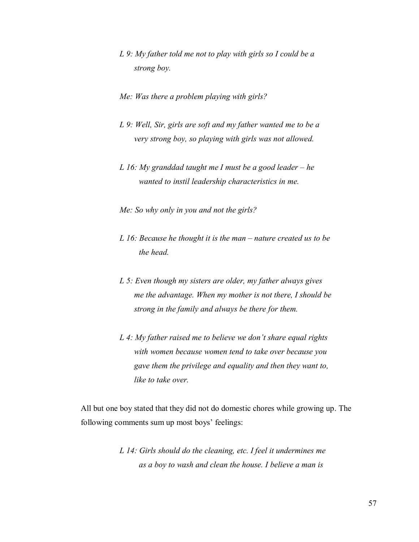- *L 9: My father told me not to play with girls so I could be a strong boy.*
- *Me: Was there a problem playing with girls?*
- *L 9: Well, Sir, girls are soft and my father wanted me to be a very strong boy, so playing with girls was not allowed.*
- *L 16: My granddad taught me I must be a good leader he wanted to instil leadership characteristics in me.*
- *Me: So why only in you and not the girls?*
- *L 16: Because he thought it is the man nature created us to be the head.*
- *L 5: Even though my sisters are older, my father always gives me the advantage. When my mother is not there, I should be strong in the family and always be there for them.*
- *L 4: My father raised me to believe we don't share equal rights with women because women tend to take over because you gave them the privilege and equality and then they want to, like to take over.*

All but one boy stated that they did not do domestic chores while growing up. The following comments sum up most boys' feelings:

> *L 14: Girls should do the cleaning, etc. I feel it undermines me as a boy to wash and clean the house. I believe a man is*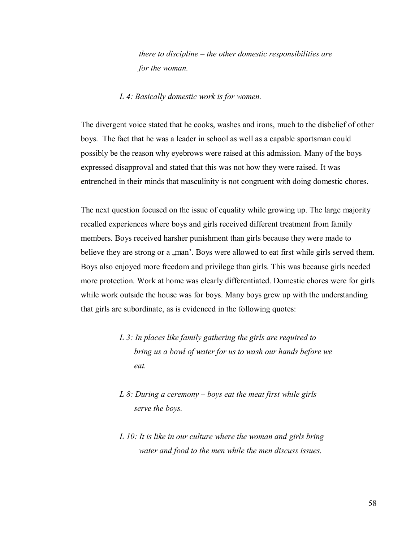*there to discipline – the other domestic responsibilities are for the woman.* 

#### *L 4: Basically domestic work is for women.*

The divergent voice stated that he cooks, washes and irons, much to the disbelief of other boys. The fact that he was a leader in school as well as a capable sportsman could possibly be the reason why eyebrows were raised at this admission. Many of the boys expressed disapproval and stated that this was not how they were raised. It was entrenched in their minds that masculinity is not congruent with doing domestic chores.

The next question focused on the issue of equality while growing up. The large majority recalled experiences where boys and girls received different treatment from family members. Boys received harsher punishment than girls because they were made to believe they are strong or a "man". Boys were allowed to eat first while girls served them. Boys also enjoyed more freedom and privilege than girls. This was because girls needed more protection. Work at home was clearly differentiated. Domestic chores were for girls while work outside the house was for boys. Many boys grew up with the understanding that girls are subordinate, as is evidenced in the following quotes:

- *L 3: In places like family gathering the girls are required to bring us a bowl of water for us to wash our hands before we eat.*
- *L 8: During a ceremony boys eat the meat first while girls serve the boys.*
- *L 10: It is like in our culture where the woman and girls bring water and food to the men while the men discuss issues.*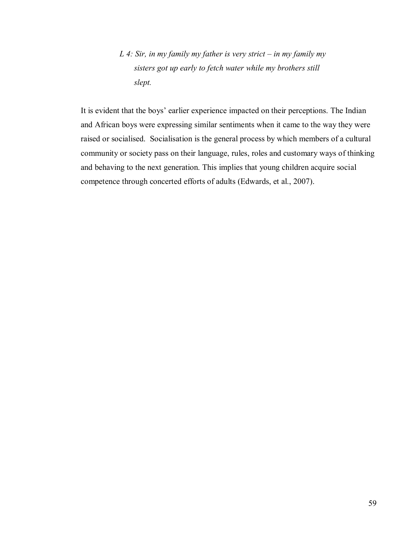*L 4: Sir, in my family my father is very strict – in my family my sisters got up early to fetch water while my brothers still slept.* 

It is evident that the boys" earlier experience impacted on their perceptions. The Indian and African boys were expressing similar sentiments when it came to the way they were raised or socialised. Socialisation is the general process by which members of a cultural community or society pass on their language, rules, roles and customary ways of thinking and behaving to the next generation. This implies that young children acquire social competence through concerted efforts of adults (Edwards, et al., 2007).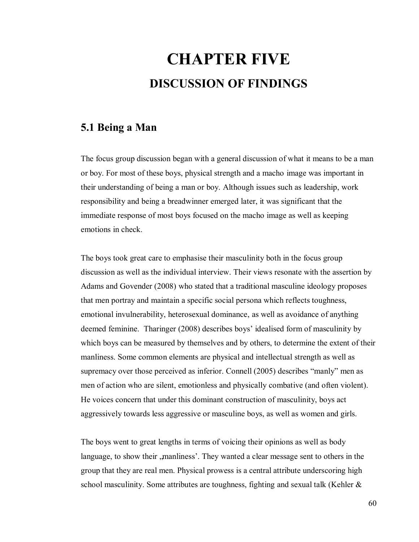# **CHAPTER FIVE DISCUSSION OF FINDINGS**

#### **5.1 Being a Man**

The focus group discussion began with a general discussion of what it means to be a man or boy. For most of these boys, physical strength and a macho image was important in their understanding of being a man or boy. Although issues such as leadership, work responsibility and being a breadwinner emerged later, it was significant that the immediate response of most boys focused on the macho image as well as keeping emotions in check.

The boys took great care to emphasise their masculinity both in the focus group discussion as well as the individual interview. Their views resonate with the assertion by Adams and Govender (2008) who stated that a traditional masculine ideology proposes that men portray and maintain a specific social persona which reflects toughness, emotional invulnerability, heterosexual dominance, as well as avoidance of anything deemed feminine. Tharinger (2008) describes boys" idealised form of masculinity by which boys can be measured by themselves and by others, to determine the extent of their manliness. Some common elements are physical and intellectual strength as well as supremacy over those perceived as inferior. Connell (2005) describes "manly" men as men of action who are silent, emotionless and physically combative (and often violent). He voices concern that under this dominant construction of masculinity, boys act aggressively towards less aggressive or masculine boys, as well as women and girls.

The boys went to great lengths in terms of voicing their opinions as well as body language, to show their , manliness'. They wanted a clear message sent to others in the group that they are real men. Physical prowess is a central attribute underscoring high school masculinity. Some attributes are toughness, fighting and sexual talk (Kehler &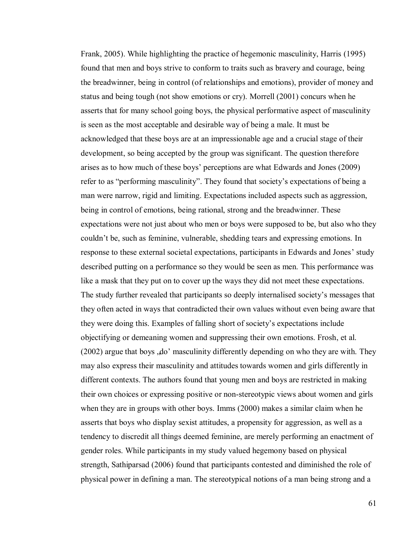Frank, 2005). While highlighting the practice of hegemonic masculinity, Harris (1995) found that men and boys strive to conform to traits such as bravery and courage, being the breadwinner, being in control (of relationships and emotions), provider of money and status and being tough (not show emotions or cry). Morrell (2001) concurs when he asserts that for many school going boys, the physical performative aspect of masculinity is seen as the most acceptable and desirable way of being a male. It must be acknowledged that these boys are at an impressionable age and a crucial stage of their development, so being accepted by the group was significant. The question therefore arises as to how much of these boys" perceptions are what Edwards and Jones (2009) refer to as "performing masculinity". They found that society"s expectations of being a man were narrow, rigid and limiting. Expectations included aspects such as aggression, being in control of emotions, being rational, strong and the breadwinner. These expectations were not just about who men or boys were supposed to be, but also who they couldn"t be, such as feminine, vulnerable, shedding tears and expressing emotions. In response to these external societal expectations, participants in Edwards and Jones' study described putting on a performance so they would be seen as men. This performance was like a mask that they put on to cover up the ways they did not meet these expectations. The study further revealed that participants so deeply internalised society"s messages that they often acted in ways that contradicted their own values without even being aware that they were doing this. Examples of falling short of society"s expectations include objectifying or demeaning women and suppressing their own emotions. Frosh, et al.  $(2002)$  argue that boys  $,do'$  masculinity differently depending on who they are with. They may also express their masculinity and attitudes towards women and girls differently in different contexts. The authors found that young men and boys are restricted in making their own choices or expressing positive or non-stereotypic views about women and girls when they are in groups with other boys. Imms (2000) makes a similar claim when he asserts that boys who display sexist attitudes, a propensity for aggression, as well as a tendency to discredit all things deemed feminine, are merely performing an enactment of gender roles. While participants in my study valued hegemony based on physical strength, Sathiparsad (2006) found that participants contested and diminished the role of physical power in defining a man. The stereotypical notions of a man being strong and a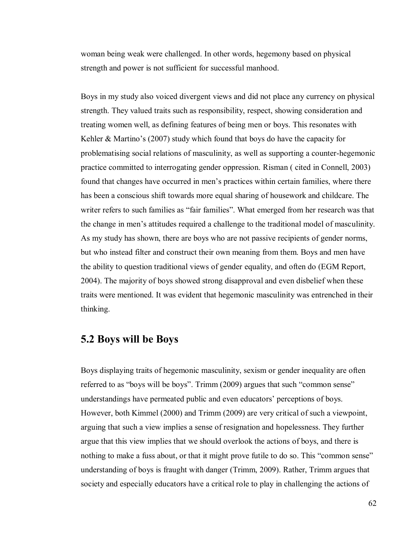woman being weak were challenged. In other words, hegemony based on physical strength and power is not sufficient for successful manhood.

Boys in my study also voiced divergent views and did not place any currency on physical strength. They valued traits such as responsibility, respect, showing consideration and treating women well, as defining features of being men or boys. This resonates with Kehler  $& Martino's (2007)$  study which found that boys do have the capacity for problematising social relations of masculinity, as well as supporting a counter-hegemonic practice committed to interrogating gender oppression. Risman ( cited in Connell, 2003) found that changes have occurred in men"s practices within certain families, where there has been a conscious shift towards more equal sharing of housework and childcare. The writer refers to such families as "fair families". What emerged from her research was that the change in men"s attitudes required a challenge to the traditional model of masculinity. As my study has shown, there are boys who are not passive recipients of gender norms, but who instead filter and construct their own meaning from them. Boys and men have the ability to question traditional views of gender equality, and often do (EGM Report, 2004). The majority of boys showed strong disapproval and even disbelief when these traits were mentioned. It was evident that hegemonic masculinity was entrenched in their thinking.

#### **5.2 Boys will be Boys**

Boys displaying traits of hegemonic masculinity, sexism or gender inequality are often referred to as "boys will be boys". Trimm (2009) argues that such "common sense" understandings have permeated public and even educators" perceptions of boys. However, both Kimmel (2000) and Trimm (2009) are very critical of such a viewpoint, arguing that such a view implies a sense of resignation and hopelessness. They further argue that this view implies that we should overlook the actions of boys, and there is nothing to make a fuss about, or that it might prove futile to do so. This "common sense" understanding of boys is fraught with danger (Trimm, 2009). Rather, Trimm argues that society and especially educators have a critical role to play in challenging the actions of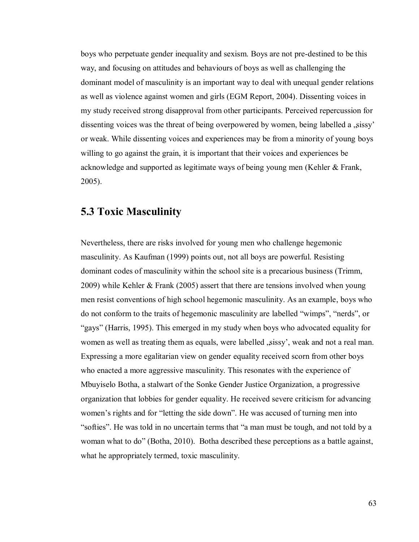boys who perpetuate gender inequality and sexism. Boys are not pre-destined to be this way, and focusing on attitudes and behaviours of boys as well as challenging the dominant model of masculinity is an important way to deal with unequal gender relations as well as violence against women and girls (EGM Report, 2004). Dissenting voices in my study received strong disapproval from other participants. Perceived repercussion for dissenting voices was the threat of being overpowered by women, being labelled a sissy' or weak. While dissenting voices and experiences may be from a minority of young boys willing to go against the grain, it is important that their voices and experiences be acknowledge and supported as legitimate ways of being young men (Kehler & Frank, 2005).

#### **5.3 Toxic Masculinity**

Nevertheless, there are risks involved for young men who challenge hegemonic masculinity. As Kaufman (1999) points out, not all boys are powerful. Resisting dominant codes of masculinity within the school site is a precarious business (Trimm, 2009) while Kehler & Frank (2005) assert that there are tensions involved when young men resist conventions of high school hegemonic masculinity. As an example, boys who do not conform to the traits of hegemonic masculinity are labelled "wimps", "nerds", or "gays" (Harris, 1995). This emerged in my study when boys who advocated equality for women as well as treating them as equals, were labelled , sissy', weak and not a real man. Expressing a more egalitarian view on gender equality received scorn from other boys who enacted a more aggressive masculinity. This resonates with the experience of Mbuyiselo Botha, a stalwart of the Sonke Gender Justice Organization, a progressive organization that lobbies for gender equality. He received severe criticism for advancing women's rights and for "letting the side down". He was accused of turning men into "softies". He was told in no uncertain terms that "a man must be tough, and not told by a woman what to do" (Botha, 2010). Botha described these perceptions as a battle against, what he appropriately termed, toxic masculinity.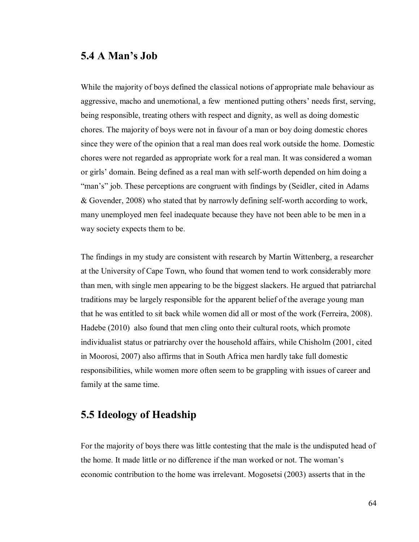#### **5.4 A Man's Job**

While the majority of boys defined the classical notions of appropriate male behaviour as aggressive, macho and unemotional, a few mentioned putting others' needs first, serving, being responsible, treating others with respect and dignity, as well as doing domestic chores. The majority of boys were not in favour of a man or boy doing domestic chores since they were of the opinion that a real man does real work outside the home. Domestic chores were not regarded as appropriate work for a real man. It was considered a woman or girls" domain. Being defined as a real man with self-worth depended on him doing a "man's" job. These perceptions are congruent with findings by (Seidler, cited in Adams & Govender, 2008) who stated that by narrowly defining self-worth according to work, many unemployed men feel inadequate because they have not been able to be men in a way society expects them to be.

The findings in my study are consistent with research by Martin Wittenberg, a researcher at the University of Cape Town, who found that women tend to work considerably more than men, with single men appearing to be the biggest slackers. He argued that patriarchal traditions may be largely responsible for the apparent belief of the average young man that he was entitled to sit back while women did all or most of the work (Ferreira, 2008). Hadebe (2010) also found that men cling onto their cultural roots, which promote individualist status or patriarchy over the household affairs, while Chisholm (2001, cited in Moorosi, 2007) also affirms that in South Africa men hardly take full domestic responsibilities, while women more often seem to be grappling with issues of career and family at the same time.

### **5.5 Ideology of Headship**

For the majority of boys there was little contesting that the male is the undisputed head of the home. It made little or no difference if the man worked or not. The woman"s economic contribution to the home was irrelevant. Mogosetsi (2003) asserts that in the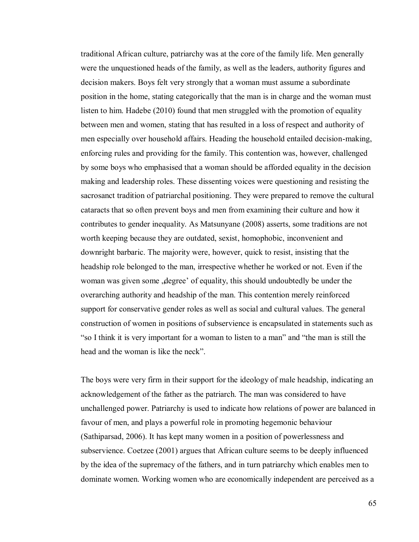traditional African culture, patriarchy was at the core of the family life. Men generally were the unquestioned heads of the family, as well as the leaders, authority figures and decision makers. Boys felt very strongly that a woman must assume a subordinate position in the home, stating categorically that the man is in charge and the woman must listen to him. Hadebe (2010) found that men struggled with the promotion of equality between men and women, stating that has resulted in a loss of respect and authority of men especially over household affairs. Heading the household entailed decision-making, enforcing rules and providing for the family. This contention was, however, challenged by some boys who emphasised that a woman should be afforded equality in the decision making and leadership roles. These dissenting voices were questioning and resisting the sacrosanct tradition of patriarchal positioning. They were prepared to remove the cultural cataracts that so often prevent boys and men from examining their culture and how it contributes to gender inequality. As Matsunyane (2008) asserts, some traditions are not worth keeping because they are outdated, sexist, homophobic, inconvenient and downright barbaric. The majority were, however, quick to resist, insisting that the headship role belonged to the man, irrespective whether he worked or not. Even if the woman was given some , degree' of equality, this should undoubtedly be under the overarching authority and headship of the man. This contention merely reinforced support for conservative gender roles as well as social and cultural values. The general construction of women in positions of subservience is encapsulated in statements such as "so I think it is very important for a woman to listen to a man" and "the man is still the head and the woman is like the neck".

The boys were very firm in their support for the ideology of male headship, indicating an acknowledgement of the father as the patriarch. The man was considered to have unchallenged power. Patriarchy is used to indicate how relations of power are balanced in favour of men, and plays a powerful role in promoting hegemonic behaviour (Sathiparsad, 2006). It has kept many women in a position of powerlessness and subservience. Coetzee (2001) argues that African culture seems to be deeply influenced by the idea of the supremacy of the fathers, and in turn patriarchy which enables men to dominate women. Working women who are economically independent are perceived as a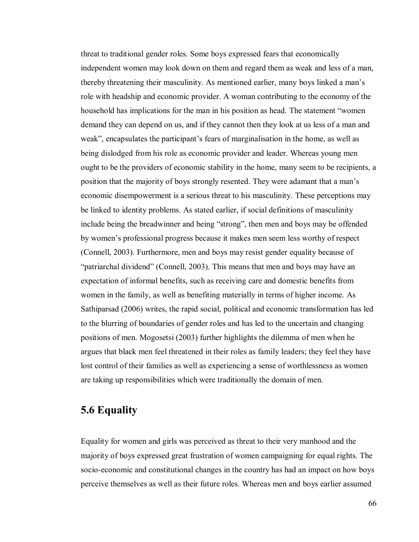threat to traditional gender roles. Some boys expressed fears that economically independent women may look down on them and regard them as weak and less of a man, thereby threatening their masculinity. As mentioned earlier, many boys linked a man"s role with headship and economic provider. A woman contributing to the economy of the household has implications for the man in his position as head. The statement "women demand they can depend on us, and if they cannot then they look at us less of a man and weak", encapsulates the participant's fears of marginalisation in the home, as well as being dislodged from his role as economic provider and leader. Whereas young men ought to be the providers of economic stability in the home, many seem to be recipients, a position that the majority of boys strongly resented. They were adamant that a man"s economic disempowerment is a serious threat to his masculinity. These perceptions may be linked to identity problems. As stated earlier, if social definitions of masculinity include being the breadwinner and being "strong", then men and boys may be offended by women"s professional progress because it makes men seem less worthy of respect (Connell, 2003). Furthermore, men and boys may resist gender equality because of "patriarchal dividend" (Connell, 2003). This means that men and boys may have an expectation of informal benefits, such as receiving care and domestic benefits from women in the family, as well as benefiting materially in terms of higher income. As Sathiparsad (2006) writes, the rapid social, political and economic transformation has led to the blurring of boundaries of gender roles and has led to the uncertain and changing positions of men. Mogosetsi (2003) further highlights the dilemma of men when he argues that black men feel threatened in their roles as family leaders; they feel they have lost control of their families as well as experiencing a sense of worthlessness as women are taking up responsibilities which were traditionally the domain of men.

### **5.6 Equality**

Equality for women and girls was perceived as threat to their very manhood and the majority of boys expressed great frustration of women campaigning for equal rights. The socio-economic and constitutional changes in the country has had an impact on how boys perceive themselves as well as their future roles. Whereas men and boys earlier assumed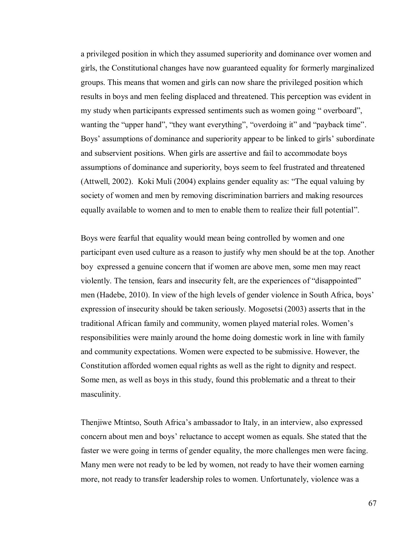a privileged position in which they assumed superiority and dominance over women and girls, the Constitutional changes have now guaranteed equality for formerly marginalized groups. This means that women and girls can now share the privileged position which results in boys and men feeling displaced and threatened. This perception was evident in my study when participants expressed sentiments such as women going " overboard", wanting the "upper hand", "they want everything", "overdoing it" and "payback time". Boys' assumptions of dominance and superiority appear to be linked to girls' subordinate and subservient positions. When girls are assertive and fail to accommodate boys assumptions of dominance and superiority, boys seem to feel frustrated and threatened (Attwell, 2002). Koki Muli (2004) explains gender equality as: "The equal valuing by society of women and men by removing discrimination barriers and making resources equally available to women and to men to enable them to realize their full potential".

Boys were fearful that equality would mean being controlled by women and one participant even used culture as a reason to justify why men should be at the top. Another boy expressed a genuine concern that if women are above men, some men may react violently. The tension, fears and insecurity felt, are the experiences of "disappointed" men (Hadebe, 2010). In view of the high levels of gender violence in South Africa, boys' expression of insecurity should be taken seriously. Mogosetsi (2003) asserts that in the traditional African family and community, women played material roles. Women"s responsibilities were mainly around the home doing domestic work in line with family and community expectations. Women were expected to be submissive. However, the Constitution afforded women equal rights as well as the right to dignity and respect. Some men, as well as boys in this study, found this problematic and a threat to their masculinity.

Thenjiwe Mtintso, South Africa"s ambassador to Italy, in an interview, also expressed concern about men and boys" reluctance to accept women as equals. She stated that the faster we were going in terms of gender equality, the more challenges men were facing. Many men were not ready to be led by women, not ready to have their women earning more, not ready to transfer leadership roles to women. Unfortunately, violence was a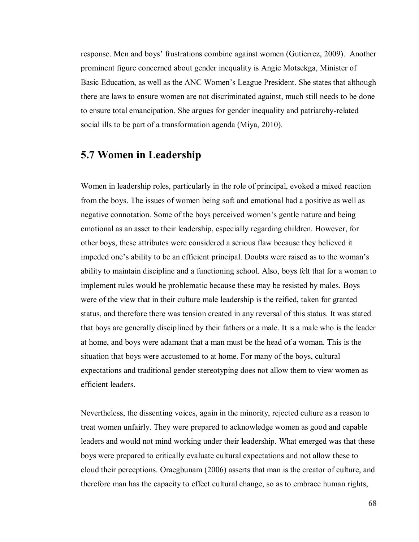response. Men and boys" frustrations combine against women (Gutierrez, 2009). Another prominent figure concerned about gender inequality is Angie Motsekga, Minister of Basic Education, as well as the ANC Women"s League President. She states that although there are laws to ensure women are not discriminated against, much still needs to be done to ensure total emancipation. She argues for gender inequality and patriarchy-related social ills to be part of a transformation agenda (Miya, 2010).

### **5.7 Women in Leadership**

Women in leadership roles, particularly in the role of principal, evoked a mixed reaction from the boys. The issues of women being soft and emotional had a positive as well as negative connotation. Some of the boys perceived women"s gentle nature and being emotional as an asset to their leadership, especially regarding children. However, for other boys, these attributes were considered a serious flaw because they believed it impeded one's ability to be an efficient principal. Doubts were raised as to the woman's ability to maintain discipline and a functioning school. Also, boys felt that for a woman to implement rules would be problematic because these may be resisted by males. Boys were of the view that in their culture male leadership is the reified, taken for granted status, and therefore there was tension created in any reversal of this status. It was stated that boys are generally disciplined by their fathers or a male. It is a male who is the leader at home, and boys were adamant that a man must be the head of a woman. This is the situation that boys were accustomed to at home. For many of the boys, cultural expectations and traditional gender stereotyping does not allow them to view women as efficient leaders.

Nevertheless, the dissenting voices, again in the minority, rejected culture as a reason to treat women unfairly. They were prepared to acknowledge women as good and capable leaders and would not mind working under their leadership. What emerged was that these boys were prepared to critically evaluate cultural expectations and not allow these to cloud their perceptions. Oraegbunam (2006) asserts that man is the creator of culture, and therefore man has the capacity to effect cultural change, so as to embrace human rights,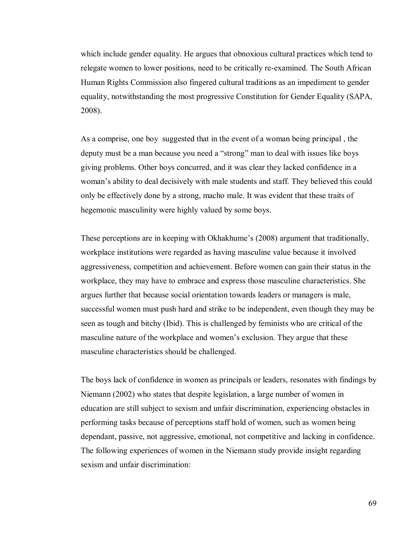which include gender equality. He argues that obnoxious cultural practices which tend to relegate women to lower positions, need to be critically re-examined. The South African Human Rights Commission also fingered cultural traditions as an impediment to gender equality, notwithstanding the most progressive Constitution for Gender Equality (SAPA, 2008).

As a comprise, one boy suggested that in the event of a woman being principal , the deputy must be a man because you need a "strong" man to deal with issues like boys giving problems. Other boys concurred, and it was clear they lacked confidence in a woman"s ability to deal decisively with male students and staff. They believed this could only be effectively done by a strong, macho male. It was evident that these traits of hegemonic masculinity were highly valued by some boys.

These perceptions are in keeping with Okhakhume's (2008) argument that traditionally, workplace institutions were regarded as having masculine value because it involved aggressiveness, competition and achievement. Before women can gain their status in the workplace, they may have to embrace and express those masculine characteristics. She argues further that because social orientation towards leaders or managers is male, successful women must push hard and strike to be independent, even though they may be seen as tough and bitchy (Ibid). This is challenged by feminists who are critical of the masculine nature of the workplace and women's exclusion. They argue that these masculine characteristics should be challenged.

The boys lack of confidence in women as principals or leaders, resonates with findings by Niemann (2002) who states that despite legislation, a large number of women in education are still subject to sexism and unfair discrimination, experiencing obstacles in performing tasks because of perceptions staff hold of women, such as women being dependant, passive, not aggressive, emotional, not competitive and lacking in confidence. The following experiences of women in the Niemann study provide insight regarding sexism and unfair discrimination: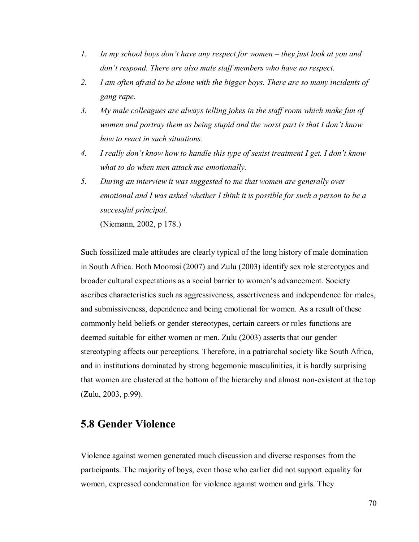- *1. In my school boys don't have any respect for women they just look at you and don't respond. There are also male staff members who have no respect.*
- *2. I am often afraid to be alone with the bigger boys. There are so many incidents of gang rape.*
- *3. My male colleagues are always telling jokes in the staff room which make fun of women and portray them as being stupid and the worst part is that I don't know how to react in such situations.*
- *4. I really don't know how to handle this type of sexist treatment I get. I don't know what to do when men attack me emotionally.*
- *5. During an interview it was suggested to me that women are generally over emotional and I was asked whether I think it is possible for such a person to be a successful principal.*

(Niemann, 2002, p 178.)

Such fossilized male attitudes are clearly typical of the long history of male domination in South Africa. Both Moorosi (2007) and Zulu (2003) identify sex role stereotypes and broader cultural expectations as a social barrier to women"s advancement. Society ascribes characteristics such as aggressiveness, assertiveness and independence for males, and submissiveness, dependence and being emotional for women. As a result of these commonly held beliefs or gender stereotypes, certain careers or roles functions are deemed suitable for either women or men. Zulu (2003) asserts that our gender stereotyping affects our perceptions. Therefore, in a patriarchal society like South Africa, and in institutions dominated by strong hegemonic masculinities, it is hardly surprising that women are clustered at the bottom of the hierarchy and almost non-existent at the top (Zulu, 2003, p.99).

### **5.8 Gender Violence**

Violence against women generated much discussion and diverse responses from the participants. The majority of boys, even those who earlier did not support equality for women, expressed condemnation for violence against women and girls. They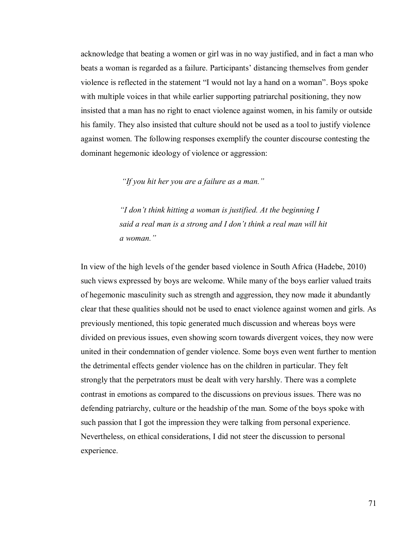acknowledge that beating a women or girl was in no way justified, and in fact a man who beats a woman is regarded as a failure. Participants' distancing themselves from gender violence is reflected in the statement "I would not lay a hand on a woman". Boys spoke with multiple voices in that while earlier supporting patriarchal positioning, they now insisted that a man has no right to enact violence against women, in his family or outside his family. They also insisted that culture should not be used as a tool to justify violence against women. The following responses exemplify the counter discourse contesting the dominant hegemonic ideology of violence or aggression:

*"If you hit her you are a failure as a man."* 

*"I don't think hitting a woman is justified. At the beginning I said a real man is a strong and I don't think a real man will hit a woman."* 

In view of the high levels of the gender based violence in South Africa (Hadebe, 2010) such views expressed by boys are welcome. While many of the boys earlier valued traits of hegemonic masculinity such as strength and aggression, they now made it abundantly clear that these qualities should not be used to enact violence against women and girls. As previously mentioned, this topic generated much discussion and whereas boys were divided on previous issues, even showing scorn towards divergent voices, they now were united in their condemnation of gender violence. Some boys even went further to mention the detrimental effects gender violence has on the children in particular. They felt strongly that the perpetrators must be dealt with very harshly. There was a complete contrast in emotions as compared to the discussions on previous issues. There was no defending patriarchy, culture or the headship of the man. Some of the boys spoke with such passion that I got the impression they were talking from personal experience. Nevertheless, on ethical considerations, I did not steer the discussion to personal experience.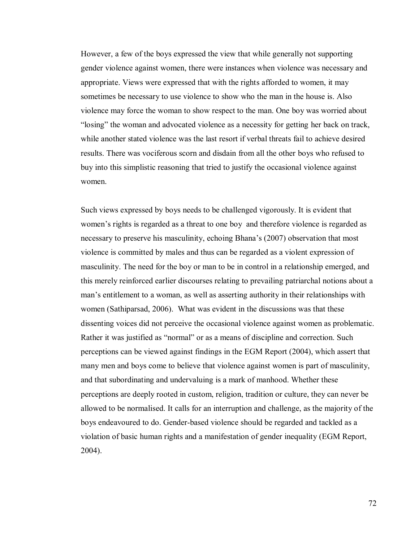However, a few of the boys expressed the view that while generally not supporting gender violence against women, there were instances when violence was necessary and appropriate. Views were expressed that with the rights afforded to women, it may sometimes be necessary to use violence to show who the man in the house is. Also violence may force the woman to show respect to the man. One boy was worried about "losing" the woman and advocated violence as a necessity for getting her back on track, while another stated violence was the last resort if verbal threats fail to achieve desired results. There was vociferous scorn and disdain from all the other boys who refused to buy into this simplistic reasoning that tried to justify the occasional violence against women.

Such views expressed by boys needs to be challenged vigorously. It is evident that women's rights is regarded as a threat to one boy and therefore violence is regarded as necessary to preserve his masculinity, echoing Bhana"s (2007) observation that most violence is committed by males and thus can be regarded as a violent expression of masculinity. The need for the boy or man to be in control in a relationship emerged, and this merely reinforced earlier discourses relating to prevailing patriarchal notions about a man"s entitlement to a woman, as well as asserting authority in their relationships with women (Sathiparsad, 2006). What was evident in the discussions was that these dissenting voices did not perceive the occasional violence against women as problematic. Rather it was justified as "normal" or as a means of discipline and correction. Such perceptions can be viewed against findings in the EGM Report (2004), which assert that many men and boys come to believe that violence against women is part of masculinity, and that subordinating and undervaluing is a mark of manhood. Whether these perceptions are deeply rooted in custom, religion, tradition or culture, they can never be allowed to be normalised. It calls for an interruption and challenge, as the majority of the boys endeavoured to do. Gender-based violence should be regarded and tackled as a violation of basic human rights and a manifestation of gender inequality (EGM Report, 2004).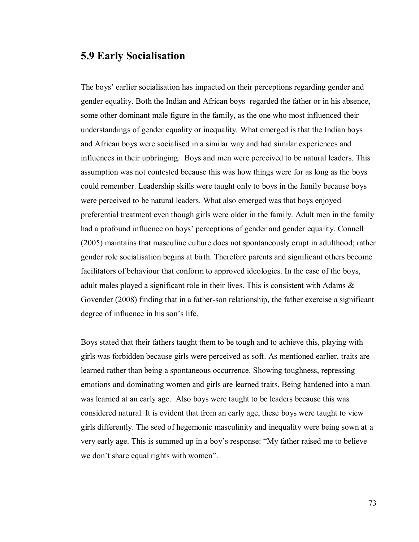### **5.9 Early Socialisation**

The boys" earlier socialisation has impacted on their perceptions regarding gender and gender equality. Both the Indian and African boys regarded the father or in his absence, some other dominant male figure in the family, as the one who most influenced their understandings of gender equality or inequality. What emerged is that the Indian boys and African boys were socialised in a similar way and had similar experiences and influences in their upbringing. Boys and men were perceived to be natural leaders. This assumption was not contested because this was how things were for as long as the boys could remember. Leadership skills were taught only to boys in the family because boys were perceived to be natural leaders. What also emerged was that boys enjoyed preferential treatment even though girls were older in the family. Adult men in the family had a profound influence on boys' perceptions of gender and gender equality. Connell (2005) maintains that masculine culture does not spontaneously erupt in adulthood; rather gender role socialisation begins at birth. Therefore parents and significant others become facilitators of behaviour that conform to approved ideologies. In the case of the boys, adult males played a significant role in their lives. This is consistent with Adams & Govender (2008) finding that in a father-son relationship, the father exercise a significant degree of influence in his son's life.

Boys stated that their fathers taught them to be tough and to achieve this, playing with girls was forbidden because girls were perceived as soft. As mentioned earlier, traits are learned rather than being a spontaneous occurrence. Showing toughness, repressing emotions and dominating women and girls are learned traits. Being hardened into a man was learned at an early age. Also boys were taught to be leaders because this was considered natural. It is evident that from an early age, these boys were taught to view girls differently. The seed of hegemonic masculinity and inequality were being sown at a very early age. This is summed up in a boy"s response: "My father raised me to believe we don"t share equal rights with women".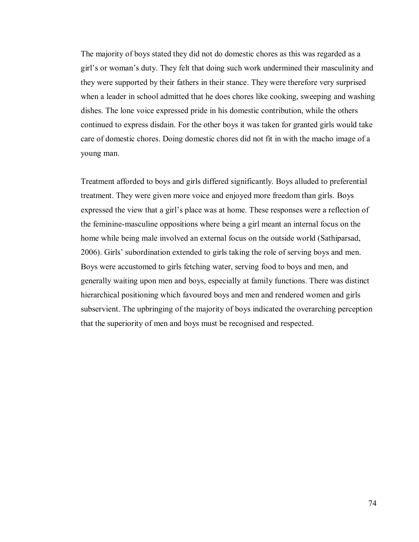The majority of boys stated they did not do domestic chores as this was regarded as a girl"s or woman"s duty. They felt that doing such work undermined their masculinity and they were supported by their fathers in their stance. They were therefore very surprised when a leader in school admitted that he does chores like cooking, sweeping and washing dishes. The lone voice expressed pride in his domestic contribution, while the others continued to express disdain. For the other boys it was taken for granted girls would take care of domestic chores. Doing domestic chores did not fit in with the macho image of a young man.

Treatment afforded to boys and girls differed significantly. Boys alluded to preferential treatment. They were given more voice and enjoyed more freedom than girls. Boys expressed the view that a girl"s place was at home. These responses were a reflection of the feminine-masculine oppositions where being a girl meant an internal focus on the home while being male involved an external focus on the outside world (Sathiparsad, 2006). Girls" subordination extended to girls taking the role of serving boys and men. Boys were accustomed to girls fetching water, serving food to boys and men, and generally waiting upon men and boys, especially at family functions. There was distinct hierarchical positioning which favoured boys and men and rendered women and girls subservient. The upbringing of the majority of boys indicated the overarching perception that the superiority of men and boys must be recognised and respected.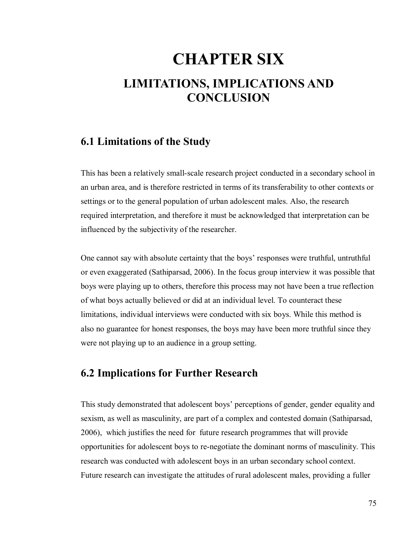# **CHAPTER SIX LIMITATIONS, IMPLICATIONS AND CONCLUSION**

### **6.1 Limitations of the Study**

This has been a relatively small-scale research project conducted in a secondary school in an urban area, and is therefore restricted in terms of its transferability to other contexts or settings or to the general population of urban adolescent males. Also, the research required interpretation, and therefore it must be acknowledged that interpretation can be influenced by the subjectivity of the researcher.

One cannot say with absolute certainty that the boys" responses were truthful, untruthful or even exaggerated (Sathiparsad, 2006). In the focus group interview it was possible that boys were playing up to others, therefore this process may not have been a true reflection of what boys actually believed or did at an individual level. To counteract these limitations, individual interviews were conducted with six boys. While this method is also no guarantee for honest responses, the boys may have been more truthful since they were not playing up to an audience in a group setting.

### **6.2 Implications for Further Research**

This study demonstrated that adolescent boys' perceptions of gender, gender equality and sexism, as well as masculinity, are part of a complex and contested domain (Sathiparsad, 2006), which justifies the need for future research programmes that will provide opportunities for adolescent boys to re-negotiate the dominant norms of masculinity. This research was conducted with adolescent boys in an urban secondary school context. Future research can investigate the attitudes of rural adolescent males, providing a fuller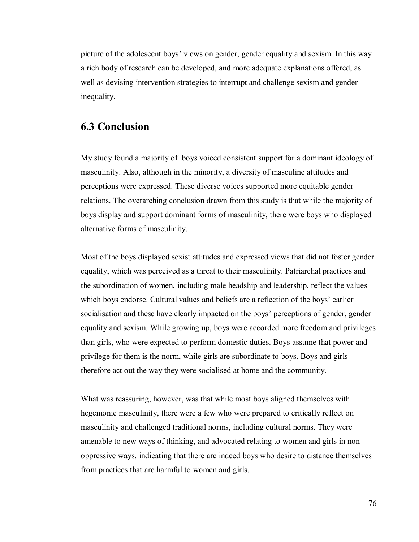picture of the adolescent boys" views on gender, gender equality and sexism. In this way a rich body of research can be developed, and more adequate explanations offered, as well as devising intervention strategies to interrupt and challenge sexism and gender inequality.

### **6.3 Conclusion**

My study found a majority of boys voiced consistent support for a dominant ideology of masculinity. Also, although in the minority, a diversity of masculine attitudes and perceptions were expressed. These diverse voices supported more equitable gender relations. The overarching conclusion drawn from this study is that while the majority of boys display and support dominant forms of masculinity, there were boys who displayed alternative forms of masculinity.

Most of the boys displayed sexist attitudes and expressed views that did not foster gender equality, which was perceived as a threat to their masculinity. Patriarchal practices and the subordination of women, including male headship and leadership, reflect the values which boys endorse. Cultural values and beliefs are a reflection of the boys" earlier socialisation and these have clearly impacted on the boys" perceptions of gender, gender equality and sexism. While growing up, boys were accorded more freedom and privileges than girls, who were expected to perform domestic duties. Boys assume that power and privilege for them is the norm, while girls are subordinate to boys. Boys and girls therefore act out the way they were socialised at home and the community.

What was reassuring, however, was that while most boys aligned themselves with hegemonic masculinity, there were a few who were prepared to critically reflect on masculinity and challenged traditional norms, including cultural norms. They were amenable to new ways of thinking, and advocated relating to women and girls in nonoppressive ways, indicating that there are indeed boys who desire to distance themselves from practices that are harmful to women and girls.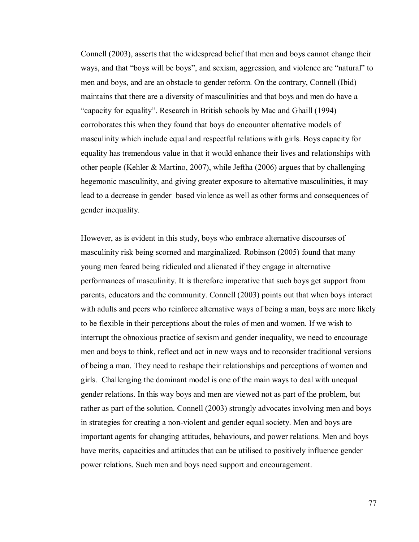Connell (2003), asserts that the widespread belief that men and boys cannot change their ways, and that "boys will be boys", and sexism, aggression, and violence are "natural" to men and boys, and are an obstacle to gender reform. On the contrary, Connell (Ibid) maintains that there are a diversity of masculinities and that boys and men do have a "capacity for equality". Research in British schools by Mac and Ghaill (1994) corroborates this when they found that boys do encounter alternative models of masculinity which include equal and respectful relations with girls. Boys capacity for equality has tremendous value in that it would enhance their lives and relationships with other people (Kehler & Martino, 2007), while Jeftha (2006) argues that by challenging hegemonic masculinity, and giving greater exposure to alternative masculinities, it may lead to a decrease in gender based violence as well as other forms and consequences of gender inequality.

However, as is evident in this study, boys who embrace alternative discourses of masculinity risk being scorned and marginalized. Robinson (2005) found that many young men feared being ridiculed and alienated if they engage in alternative performances of masculinity. It is therefore imperative that such boys get support from parents, educators and the community. Connell (2003) points out that when boys interact with adults and peers who reinforce alternative ways of being a man, boys are more likely to be flexible in their perceptions about the roles of men and women. If we wish to interrupt the obnoxious practice of sexism and gender inequality, we need to encourage men and boys to think, reflect and act in new ways and to reconsider traditional versions of being a man. They need to reshape their relationships and perceptions of women and girls. Challenging the dominant model is one of the main ways to deal with unequal gender relations. In this way boys and men are viewed not as part of the problem, but rather as part of the solution. Connell (2003) strongly advocates involving men and boys in strategies for creating a non-violent and gender equal society. Men and boys are important agents for changing attitudes, behaviours, and power relations. Men and boys have merits, capacities and attitudes that can be utilised to positively influence gender power relations. Such men and boys need support and encouragement.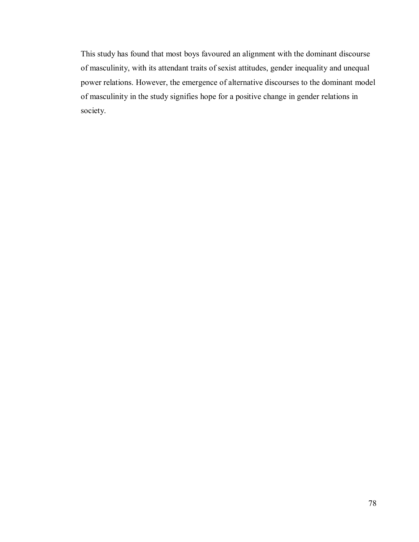This study has found that most boys favoured an alignment with the dominant discourse of masculinity, with its attendant traits of sexist attitudes, gender inequality and unequal power relations. However, the emergence of alternative discourses to the dominant model of masculinity in the study signifies hope for a positive change in gender relations in society.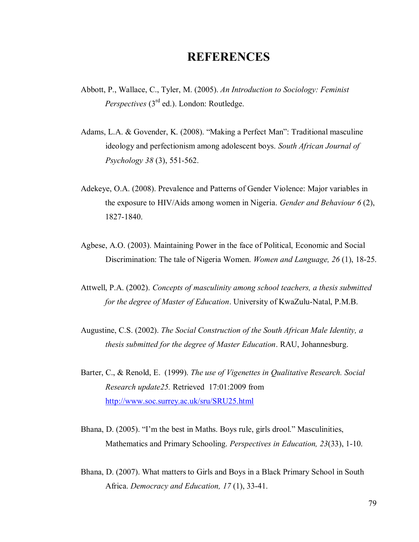# **REFERENCES**

- Abbott, P., Wallace, C., Tyler, M. (2005). *An Introduction to Sociology: Feminist Perspectives* (3<sup>rd</sup> ed.). London: Routledge.
- Adams, L.A. & Govender, K. (2008). "Making a Perfect Man": Traditional masculine ideology and perfectionism among adolescent boys. *South African Journal of Psychology 38* (3), 551-562.
- Adekeye, O.A. (2008). Prevalence and Patterns of Gender Violence: Major variables in the exposure to HIV/Aids among women in Nigeria. *Gender and Behaviour 6* (2), 1827-1840.
- Agbese, A.O. (2003). Maintaining Power in the face of Political, Economic and Social Discrimination: The tale of Nigeria Women. *Women and Language, 26* (1), 18-25.
- Attwell, P.A. (2002). *Concepts of masculinity among school teachers, a thesis submitted for the degree of Master of Education*. University of KwaZulu-Natal, P.M.B.
- Augustine, C.S. (2002). *The Social Construction of the South African Male Identity, a thesis submitted for the degree of Master Education*. RAU, Johannesburg.
- Barter, C., & Renold, E. (1999). *The use of Vigenettes in Qualitative Research. Social Research update25.* Retrieved 17:01:2009 from <http://www.soc.surrey.ac.uk/sru/SRU25.html>
- Bhana, D. (2005). "I"m the best in Maths. Boys rule, girls drool." Masculinities, Mathematics and Primary Schooling. *Perspectives in Education, 23*(33), 1-10.
- Bhana, D. (2007). What matters to Girls and Boys in a Black Primary School in South Africa. *Democracy and Education, 17* (1), 33-41.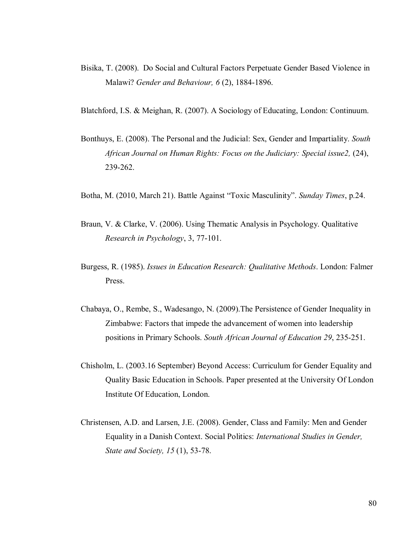- Bisika, T. (2008). Do Social and Cultural Factors Perpetuate Gender Based Violence in Malawi? *Gender and Behaviour, 6* (2), 1884-1896.
- Blatchford, I.S. & Meighan, R. (2007). A Sociology of Educating, London: Continuum.
- Bonthuys, E. (2008). The Personal and the Judicial: Sex, Gender and Impartiality. *South African Journal on Human Rights: Focus on the Judiciary: Special issue2,* (24), 239-262.
- Botha, M. (2010, March 21). Battle Against "Toxic Masculinity". *Sunday Times*, p.24.
- Braun, V. & Clarke, V. (2006). Using Thematic Analysis in Psychology. Qualitative *Research in Psychology*, 3, 77-101.
- Burgess, R. (1985). *Issues in Education Research: Qualitative Methods*. London: Falmer Press.
- Chabaya, O., Rembe, S., Wadesango, N. (2009).The Persistence of Gender Inequality in Zimbabwe: Factors that impede the advancement of women into leadership positions in Primary Schools. *South African Journal of Education 29*, 235-251.
- Chisholm, L. (2003.16 September) Beyond Access: Curriculum for Gender Equality and Quality Basic Education in Schools. Paper presented at the University Of London Institute Of Education, London.
- Christensen, A.D. and Larsen, J.E. (2008). Gender, Class and Family: Men and Gender Equality in a Danish Context. Social Politics: *International Studies in Gender, State and Society, 15* (1), 53-78.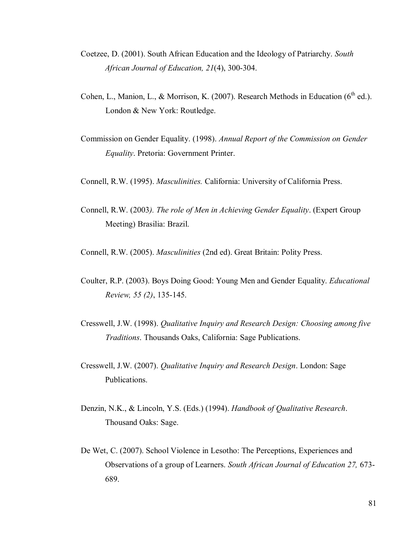- Coetzee, D. (2001). South African Education and the Ideology of Patriarchy. *South African Journal of Education, 21*(4), 300-304.
- Cohen, L., Manion, L., & Morrison, K. (2007). Research Methods in Education ( $6<sup>th</sup>$  ed.). London & New York: Routledge.
- Commission on Gender Equality. (1998). *Annual Report of the Commission on Gender Equality*. Pretoria: Government Printer.
- Connell, R.W. (1995). *Masculinities.* California: University of California Press.
- Connell, R.W. (2003*). The role of Men in Achieving Gender Equality*. (Expert Group Meeting) Brasilia: Brazil.

Connell, R.W. (2005). *Masculinities* (2nd ed). Great Britain: Polity Press.

- Coulter, R.P. (2003). Boys Doing Good: Young Men and Gender Equality. *Educational Review, 55 (2)*, 135-145.
- Cresswell, J.W. (1998). *Qualitative Inquiry and Research Design: Choosing among five Traditions*. Thousands Oaks, California: Sage Publications.
- Cresswell, J.W. (2007). *Qualitative Inquiry and Research Design*. London: Sage Publications.
- Denzin, N.K., & Lincoln, Y.S. (Eds.) (1994). *Handbook of Qualitative Research*. Thousand Oaks: Sage.
- De Wet, C. (2007). School Violence in Lesotho: The Perceptions, Experiences and Observations of a group of Learners. *South African Journal of Education 27,* 673- 689.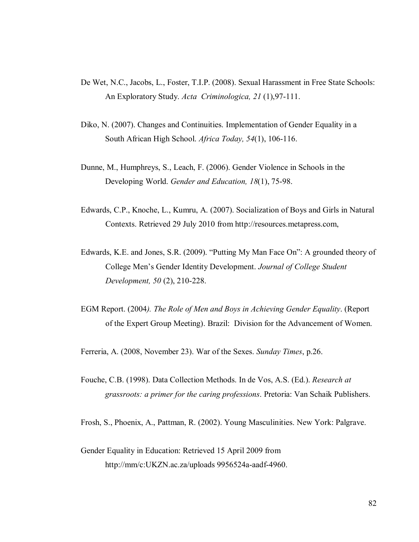- De Wet, N.C., Jacobs, L., Foster, T.I.P. (2008). Sexual Harassment in Free State Schools: An Exploratory Study. *Acta Criminologica, 21* (1),97-111.
- Diko, N. (2007). Changes and Continuities. Implementation of Gender Equality in a South African High School. *Africa Today, 54*(1), 106-116.
- Dunne, M., Humphreys, S., Leach, F. (2006). Gender Violence in Schools in the Developing World. *Gender and Education, 18*(1), 75-98.
- Edwards, C.P., Knoche, L., Kumru, A. (2007). Socialization of Boys and Girls in Natural Contexts. Retrieved 29 July 2010 from http://resources.metapress.com,
- Edwards, K.E. and Jones, S.R. (2009). "Putting My Man Face On": A grounded theory of College Men"s Gender Identity Development. *Journal of College Student Development, 50* (2), 210-228.
- EGM Report. (2004*). The Role of Men and Boys in Achieving Gender Equality*. (Report of the Expert Group Meeting). Brazil: Division for the Advancement of Women.

Ferreria, A. (2008, November 23). War of the Sexes. *Sunday Times*, p.26.

Fouche, C.B. (1998). Data Collection Methods. In de Vos, A.S. (Ed.). *Research at grassroots: a primer for the caring professions*. Pretoria: Van Schaik Publishers.

Frosh, S., Phoenix, A., Pattman, R. (2002). Young Masculinities. New York: Palgrave.

Gender Equality in Education: Retrieved 15 April 2009 from http://mm/c:UKZN.ac.za/uploads 9956524a-aadf-4960.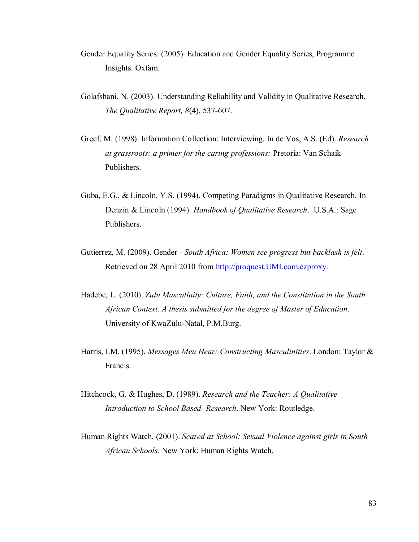- Gender Equality Series. (2005). Education and Gender Equality Series, Programme Insights. Oxfam.
- Golafshani, N. (2003). Understanding Reliability and Validity in Qualitative Research. *The Qualitative Report, 8*(4), 537-607.
- Greef, M. (1998). Information Collection: Interviewing. In de Vos, A.S. (Ed). *Research at grassroots: a primer for the caring professions:* Pretoria: Van Schaik Publishers.
- Guba, E.G., & Lincoln, Y.S. (1994). Competing Paradigms in Qualitative Research. In Denzin & Lincoln (1994). *Handbook of Qualitative Research*. U.S.A.: Sage Publishers.
- Gutierrez, M. (2009). Gender  *South Africa: Women see progress but backlash is felt*. Retrieved on 28 April 2010 from [http://proquest.UMI.com.ezproxy.](http://proquest.umi.com.ezproxy/)
- Hadebe, L. (2010). *Zulu Masculinity: Culture, Faith, and the Constitution in the South African Context. A thesis submitted for the degree of Master of Education*. University of KwaZulu-Natal, P.M.Burg.
- Harris, I.M. (1995). *Messages Men Hear: Constructing Masculinities*. London: Taylor & Francis.
- Hitchcock, G. & Hughes, D. (1989). *Research and the Teacher: A Qualitative Introduction to School Based- Research*. New York: Routledge.
- Human Rights Watch. (2001). *Scared at School: Sexual Violence against girls in South African Schools*. New York: Human Rights Watch.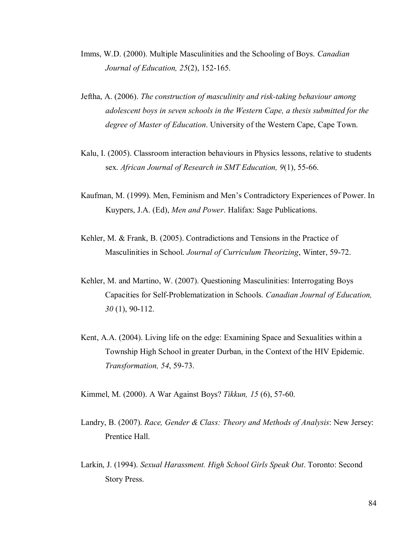- Imms, W.D. (2000). Multiple Masculinities and the Schooling of Boys. *Canadian Journal of Education, 25*(2), 152-165.
- Jeftha, A. (2006). *The construction of masculinity and risk-taking behaviour among adolescent boys in seven schools in the Western Cape, a thesis submitted for the degree of Master of Education*. University of the Western Cape, Cape Town.
- Kalu, I. (2005). Classroom interaction behaviours in Physics lessons, relative to students sex. *African Journal of Research in SMT Education, 9*(1), 55-66.
- Kaufman, M. (1999). Men, Feminism and Men"s Contradictory Experiences of Power. In Kuypers, J.A. (Ed), *Men and Power*. Halifax: Sage Publications.
- Kehler, M. & Frank, B. (2005). Contradictions and Tensions in the Practice of Masculinities in School. *Journal of Curriculum Theorizing*, Winter, 59-72.
- Kehler, M. and Martino, W. (2007). Questioning Masculinities: Interrogating Boys Capacities for Self-Problematization in Schools. *Canadian Journal of Education, 30* (1), 90-112.
- Kent, A.A. (2004). Living life on the edge: Examining Space and Sexualities within a Township High School in greater Durban, in the Context of the HIV Epidemic. *Transformation, 54*, 59-73.

Kimmel, M. (2000). A War Against Boys? *Tikkun, 15* (6), 57-60.

- Landry, B. (2007). *Race, Gender & Class: Theory and Methods of Analysis*: New Jersey: Prentice Hall.
- Larkin, J. (1994). *Sexual Harassment. High School Girls Speak Out*. Toronto: Second Story Press.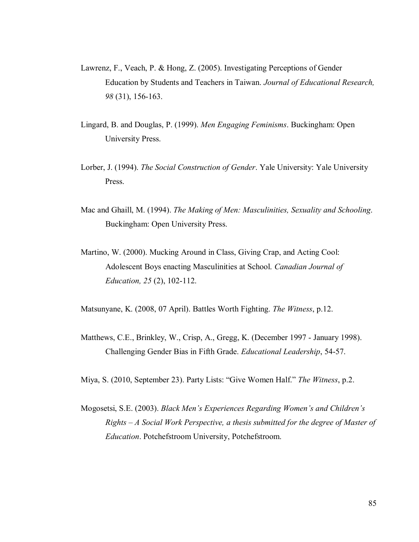- Lawrenz, F., Veach, P. & Hong, Z. (2005). Investigating Perceptions of Gender Education by Students and Teachers in Taiwan. *Journal of Educational Research, 98* (31), 156-163.
- Lingard, B. and Douglas, P. (1999). *Men Engaging Feminisms*. Buckingham: Open University Press.
- Lorber, J. (1994). *The Social Construction of Gender*. Yale University: Yale University Press.
- Mac and Ghaill, M. (1994). *The Making of Men: Masculinities, Sexuality and Schooling*. Buckingham: Open University Press.
- Martino, W. (2000). Mucking Around in Class, Giving Crap, and Acting Cool: Adolescent Boys enacting Masculinities at School. *Canadian Journal of Education, 25* (2), 102-112.

Matsunyane, K. (2008, 07 April). Battles Worth Fighting. *The Witness*, p.12.

- Matthews, C.E., Brinkley, W., Crisp, A., Gregg, K. (December 1997 January 1998). Challenging Gender Bias in Fifth Grade. *Educational Leadership*, 54-57.
- Miya, S. (2010, September 23). Party Lists: "Give Women Half." *The Witness*, p.2.
- Mogosetsi, S.E. (2003). *Black Men's Experiences Regarding Women's and Children's Rights – A Social Work Perspective, a thesis submitted for the degree of Master of Education*. Potchefstroom University, Potchefstroom.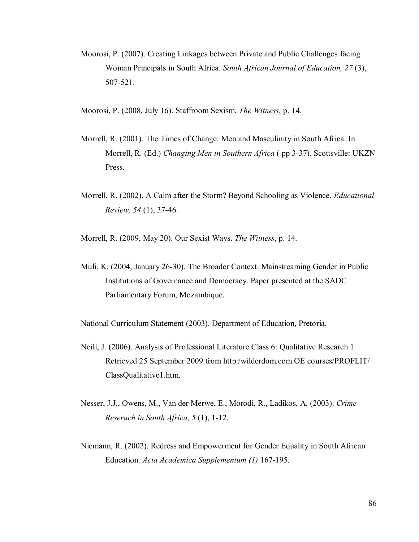- Moorosi, P. (2007). Creating Linkages between Private and Public Challenges facing Woman Principals in South Africa. *South African Journal of Education, 27* (3), 507-521.
- Moorosi, P. (2008, July 16). Staffroom Sexism. *The Witness*, p. 14.
- Morrell, R. (2001). The Times of Change: Men and Masculinity in South Africa. In Morrell, R. (Ed.) *Changing Men in Southern Africa* ( pp 3-37). Scottsville: UKZN Press.
- Morrell, R. (2002). A Calm after the Storm? Beyond Schooling as Violence. *Educational Review, 54* (1), 37-46.

Morrell, R. (2009, May 20). Our Sexist Ways. *The Witness*, p. 14.

Muli, K. (2004, January 26-30). The Broader Context. Mainstreaming Gender in Public Institutions of Governance and Democracy. Paper presented at the SADC Parliamentary Forum, Mozambique.

National Curriculum Statement (2003). Department of Education, Pretoria.

- Neill, J. (2006). Analysis of Professional Literature Class 6: Qualitative Research 1. Retrieved 25 September 2009 from http:/wilderdom.com.OE courses/PROFLIT/ ClassQualitative1.htm.
- Nesser, J.J., Owens, M., Van der Merwe, E., Morodi, R., Ladikos, A. (2003). *Crime Reserach in South Africa, 5* (1), 1-12.
- Niemann, R. (2002). Redress and Empowerment for Gender Equality in South African Education. *Acta Academica Supplementum (1)* 167-195.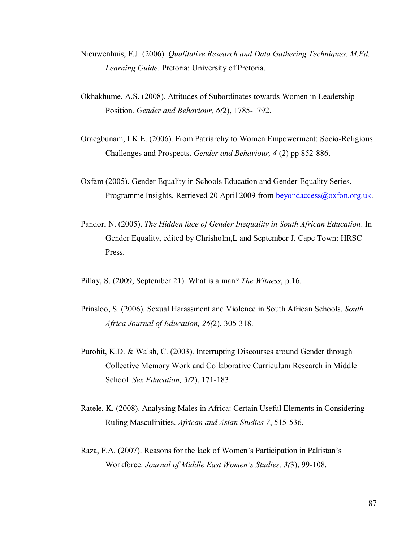- Nieuwenhuis, F.J. (2006). *Qualitative Research and Data Gathering Techniques. M.Ed. Learning Guide*. Pretoria: University of Pretoria.
- Okhakhume, A.S. (2008). Attitudes of Subordinates towards Women in Leadership Position. *Gender and Behaviour, 6(*2), 1785-1792.
- Oraegbunam, I.K.E. (2006). From Patriarchy to Women Empowerment: Socio-Religious Challenges and Prospects. *Gender and Behaviour, 4* (2) pp 852-886.
- Oxfam (2005). Gender Equality in Schools Education and Gender Equality Series. Programme Insights. Retrieved 20 April 2009 from **beyondaccess**@oxfon.org.uk.
- Pandor, N. (2005). *The Hidden face of Gender Inequality in South African Education*. In Gender Equality, edited by Chrisholm,L and September J. Cape Town: HRSC Press.
- Pillay, S. (2009, September 21). What is a man? *The Witness*, p.16.
- Prinsloo, S. (2006). Sexual Harassment and Violence in South African Schools. *South Africa Journal of Education, 26(*2), 305-318.
- Purohit, K.D. & Walsh, C. (2003). Interrupting Discourses around Gender through Collective Memory Work and Collaborative Curriculum Research in Middle School. *Sex Education, 3(*2), 171-183.
- Ratele, K. (2008). Analysing Males in Africa: Certain Useful Elements in Considering Ruling Masculinities. *African and Asian Studies 7*, 515-536.
- Raza, F.A. (2007). Reasons for the lack of Women"s Participation in Pakistan"s Workforce. *Journal of Middle East Women's Studies, 3(*3), 99-108.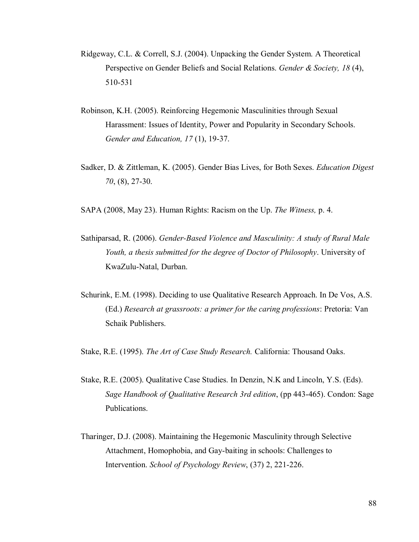- Ridgeway, C.L. & Correll, S.J. (2004). Unpacking the Gender System. A Theoretical Perspective on Gender Beliefs and Social Relations. *Gender & Society, 18* (4), 510-531
- Robinson, K.H. (2005). Reinforcing Hegemonic Masculinities through Sexual Harassment: Issues of Identity, Power and Popularity in Secondary Schools. *Gender and Education, 17* (1), 19-37.
- Sadker, D. & Zittleman, K. (2005). Gender Bias Lives, for Both Sexes. *Education Digest 70*, (8), 27-30.

SAPA (2008, May 23). Human Rights: Racism on the Up. *The Witness,* p. 4.

- Sathiparsad, R. (2006). *Gender-Based Violence and Masculinity: A study of Rural Male Youth, a thesis submitted for the degree of Doctor of Philosophy*. University of KwaZulu-Natal, Durban.
- Schurink, E.M. (1998). Deciding to use Qualitative Research Approach. In De Vos, A.S. (Ed.) *Research at grassroots: a primer for the caring professions*: Pretoria: Van Schaik Publishers.

Stake, R.E. (1995). *The Art of Case Study Research.* California: Thousand Oaks.

- Stake, R.E. (2005). Qualitative Case Studies. In Denzin, N.K and Lincoln, Y.S. (Eds). *Sage Handbook of Qualitative Research 3rd edition*, (pp 443-465). Condon: Sage Publications.
- Tharinger, D.J. (2008). Maintaining the Hegemonic Masculinity through Selective Attachment, Homophobia, and Gay-baiting in schools: Challenges to Intervention. *School of Psychology Review*, (37) 2, 221-226.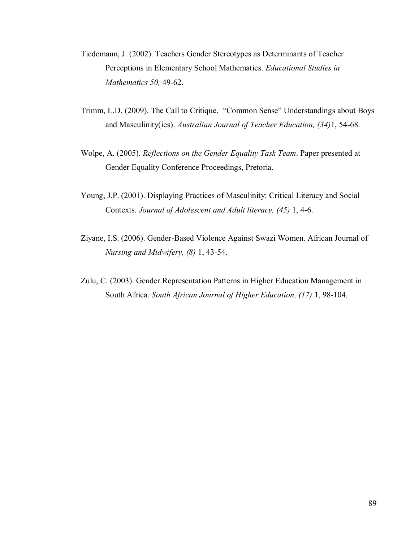- Tiedemann, J. (2002). Teachers Gender Stereotypes as Determinants of Teacher Perceptions in Elementary School Mathematics. *Educational Studies in Mathematics 50,* 49-62.
- Trimm, L.D. (2009). The Call to Critique. "Common Sense" Understandings about Boys and Masculinity(ies). *Australian Journal of Teacher Education, (34)*1, 54-68.
- Wolpe, A. (2005). *Reflections on the Gender Equality Task Team*. Paper presented at Gender Equality Conference Proceedings, Pretoria.
- Young, J.P. (2001). Displaying Practices of Masculinity: Critical Literacy and Social Contexts. *Journal of Adolescent and Adult literacy, (45)* 1, 4-6.
- Ziyane, I.S. (2006). Gender-Based Violence Against Swazi Women. African Journal of *Nursing and Midwifery, (8)* 1, 43-54.
- Zulu, C. (2003). Gender Representation Patterns in Higher Education Management in South Africa. *South African Journal of Higher Education, (17)* 1, 98-104.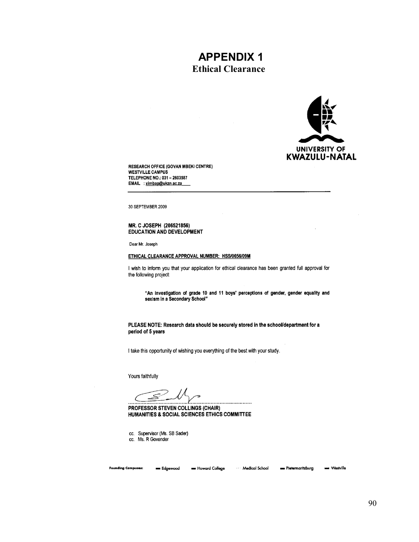# **Ethical Clearance APPENDIX 1**



**RESEARCH OFFICE (GOVAN MBEKI CENTRE) WESTVILLE CAMPUS** TELEPHONE NO.: 031 - 2603587 EMAIL : ximbap@ukzn.ac.za

30 SEPTEMBER 2009

#### MR. C JOSEPH (206521856) **EDUCATION AND DEVELOPMENT**

Dear Mr. Joseph

#### ETHICAL CLEARANCE APPROVAL NUMBER: HSS/0656/09M

I wish to inform you that your application for ethical clearance has been granted full approval for the following project:

"An investigation of grade 10 and 11 boys' perceptions of gender, gender equality and sexism in a Secondary School"

#### PLEASE NOTE: Research data should be securely stored in the school/department for a period of 5 years

I take this opportunity of wishing you everything of the best with your study.

Yours faithfully

≤ 

PROFESSOR STEVEN COLLINGS (CHAIR) HUMANITIES & SOCIAL SCIENCES ETHICS COMMITTEE

cc. Supervisor (Ms. SB Sader) cc. Ms. R Govender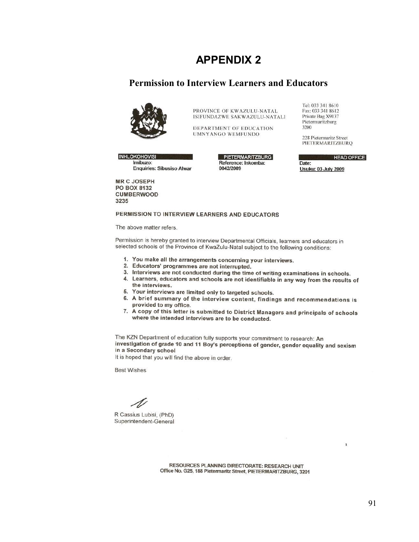#### **Permission to Interview Learners and Educators**



PROVINCE OF KWAZULU-NATAL ISIFUNDAZWE SAKWAZULU-NATALI

DEPARTMENT OF EDUCATION **UMNYANGO WEMFUNDO** 

**INHLOKOHOVISI** Imibuzo: **Enquiries: Sibusiso Alwar** 

PIETERMARITZBURG Reference: Inkomba: 0042/2009

Tel: 033 341 8610 Fax: 033 341 8612 Private Bag X9137 Pietermaritzburg 3200

228 Pietermaritz Street PIETERMARITZBURQ

**HEAD OFFICE** Date: **Usuku: 03 July 2009** 

**MR C JOSEPH PO BOX 8132 CUMBERWOOD** 3235

#### PERMISSION TO INTERVIEW LEARNERS AND EDUCATORS

The above matter refers.

Permission is hereby granted to interview Departmental Officials, learners and educators in selected schools of the Province of KwaZulu-Natal subject to the following conditions:

- 1. You make all the arrangements concerning your interviews.
- 2. Educators' programmes are not interrupted.
- 3. Interviews are not conducted during the time of writing examinations in schools.
- 4. Learners, educators and schools are not identifiable in any way from the results of the interviews.
- 5. Your interviews are limited only to targeted schools.
- 6. A brief summary of the interview content, findings and recommendations is provided to my office.
- 7. A copy of this letter is submitted to District Managers and principals of schools where the intended interviews are to be conducted.

The KZN Department of education fully supports your commitment to research: An investigation of grade 10 and 11 Boy's perceptions of gender, gender equality and sexism in a Secondary school

It is hoped that you will find the above in order.

**Best Wishes** 

R Cassius Lubisi, (PhD) Superintendent-General

RESOURCES PLANNING DIRECTORATE: RESEARCH UNIT Office No. G25, 188 Pietermaritz Street, PIETERMARITZBURG, 3201  $\pmb{\chi}$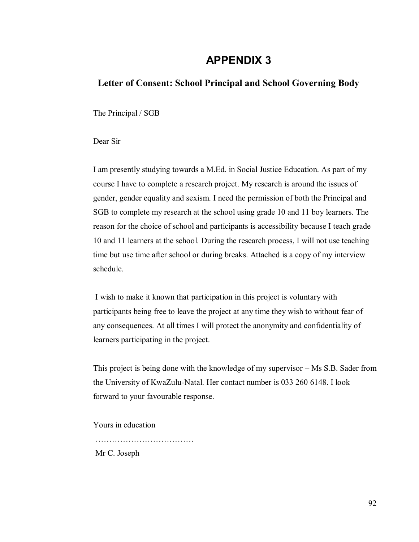### **Letter of Consent: School Principal and School Governing Body**

The Principal / SGB

Dear Sir

I am presently studying towards a M.Ed. in Social Justice Education. As part of my course I have to complete a research project. My research is around the issues of gender, gender equality and sexism. I need the permission of both the Principal and SGB to complete my research at the school using grade 10 and 11 boy learners. The reason for the choice of school and participants is accessibility because I teach grade 10 and 11 learners at the school. During the research process, I will not use teaching time but use time after school or during breaks. Attached is a copy of my interview schedule.

 I wish to make it known that participation in this project is voluntary with participants being free to leave the project at any time they wish to without fear of any consequences. At all times I will protect the anonymity and confidentiality of learners participating in the project.

This project is being done with the knowledge of my supervisor – Ms S.B. Sader from the University of KwaZulu-Natal. Her contact number is 033 260 6148. I look forward to your favourable response.

Yours in education

Mr C. Joseph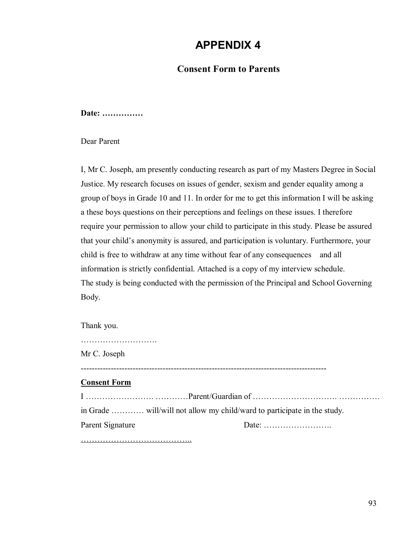### **Consent Form to Parents**

**Date: ……………** 

Dear Parent

I, Mr C. Joseph, am presently conducting research as part of my Masters Degree in Social Justice. My research focuses on issues of gender, sexism and gender equality among a group of boys in Grade 10 and 11. In order for me to get this information I will be asking a these boys questions on their perceptions and feelings on these issues. I therefore require your permission to allow your child to participate in this study. Please be assured that your child"s anonymity is assured, and participation is voluntary. Furthermore, your child is free to withdraw at any time without fear of any consequences and all information is strictly confidential. Attached is a copy of my interview schedule. The study is being conducted with the permission of the Principal and School Governing Body.

Thank you.

| Mr C. Joseph        |  |
|---------------------|--|
| <b>Consent Form</b> |  |
|                     |  |
|                     |  |
| Parent Signature    |  |
|                     |  |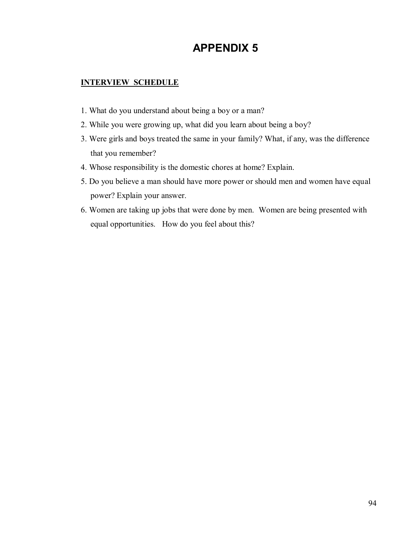### **INTERVIEW SCHEDULE**

- 1. What do you understand about being a boy or a man?
- 2. While you were growing up, what did you learn about being a boy?
- 3. Were girls and boys treated the same in your family? What, if any, was the difference that you remember?
- 4. Whose responsibility is the domestic chores at home? Explain.
- 5. Do you believe a man should have more power or should men and women have equal power? Explain your answer.
- 6. Women are taking up jobs that were done by men. Women are being presented with equal opportunities. How do you feel about this?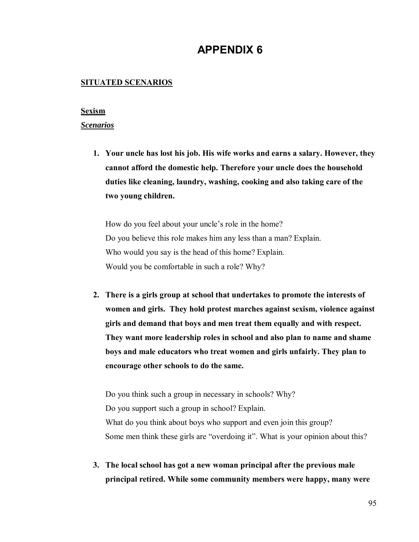#### **SITUATED SCENARIOS**

#### **Sexism**

#### *Scenarios*

**1. Your uncle has lost his job. His wife works and earns a salary. However, they cannot afford the domestic help. Therefore your uncle does the household duties like cleaning, laundry, washing, cooking and also taking care of the two young children.** 

How do you feel about your uncle's role in the home? Do you believe this role makes him any less than a man? Explain. Who would you say is the head of this home? Explain. Would you be comfortable in such a role? Why?

**2. There is a girls group at school that undertakes to promote the interests of women and girls. They hold protest marches against sexism, violence against girls and demand that boys and men treat them equally and with respect. They want more leadership roles in school and also plan to name and shame boys and male educators who treat women and girls unfairly. They plan to encourage other schools to do the same.** 

Do you think such a group in necessary in schools? Why? Do you support such a group in school? Explain. What do you think about boys who support and even join this group? Some men think these girls are "overdoing it". What is your opinion about this?

**3. The local school has got a new woman principal after the previous male principal retired. While some community members were happy, many were**